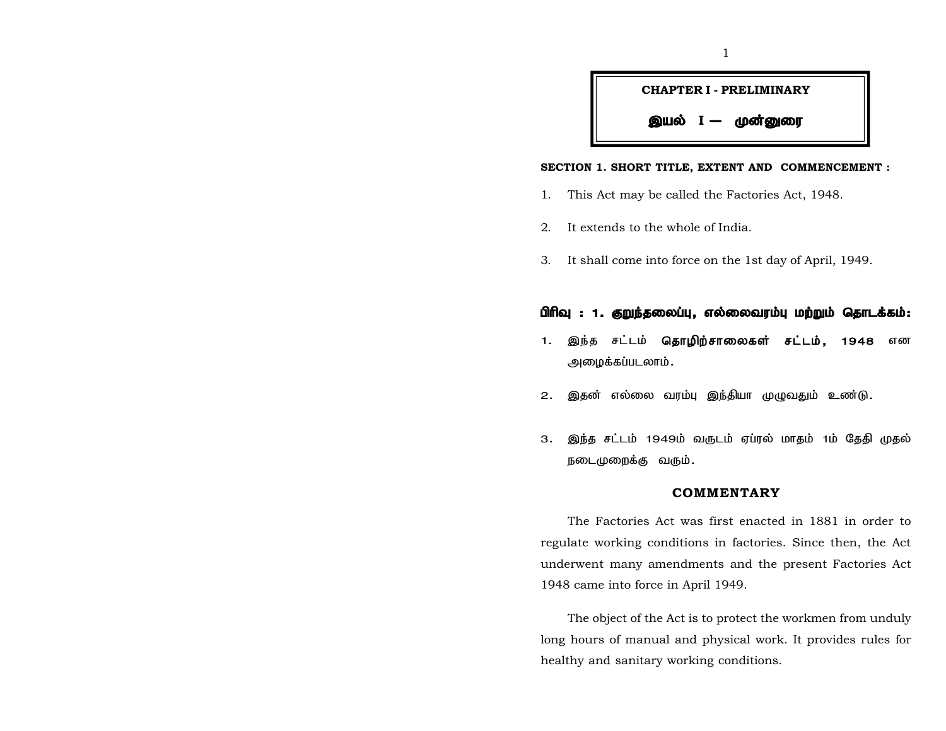

1

### **SECTION 1. SHORT TITLE, EXTENT AND COMMENCEMENT :**

- 1. This Act may be called the Factories Act, 1948.
- 2. It extends to the whole of India.
- 3. It shall come into force on the 1st day of April, 1949.

# 2. It extends to the whole of India.<br>3. It shall come into force on the 1st day of April, 1949.<br>**பிரிவு : 1. குறுந்தலைப்பு, எல்லைவரம்பு மற்றும் தொடக்கம்:**<br>1. இந்த தட்டம் தொழிற்காலைகள் தட்டம். 1948 என

- 3. It shall come into force on the 1st day of April, 1949.<br>**பிரிவு : 1. குறுந்தலைப்பு, எல்லைவரம்பு மற்றும் தொடக்கம்:**<br>1. இந்த சட்டம் **தொழிற்சாலைகள் சட்டம், 1948** என<br>அமைக்கப்படலாம். **| : 1. குறுந்தலைப்பு, எல்**<br>இந்த சட்டம் <mark>தொழிற்சா</mark><br>அழைக்கப்படலாம்.
- 2. இதன் எல்லை வரம்பு இந்தியா முழுவதும் உண்டு.
- 3. இந்த சட்டம் 1949ம் வருடம் ஏப்ரல் மாதம் 1ம் தேதி முதல் நடைமுறைக்கு வரும்.

### **COMMENTARY**

The Factories Act was first enacted in 1881 in order to regulate working conditions in factories. Since then, the Act underwent many amendments and the present Factories Act 1948 came into force in April 1949.

The object of the Act is to protect the workmen from unduly long hours of manual and physical work. It provides rules for healthy and sanitary working conditions.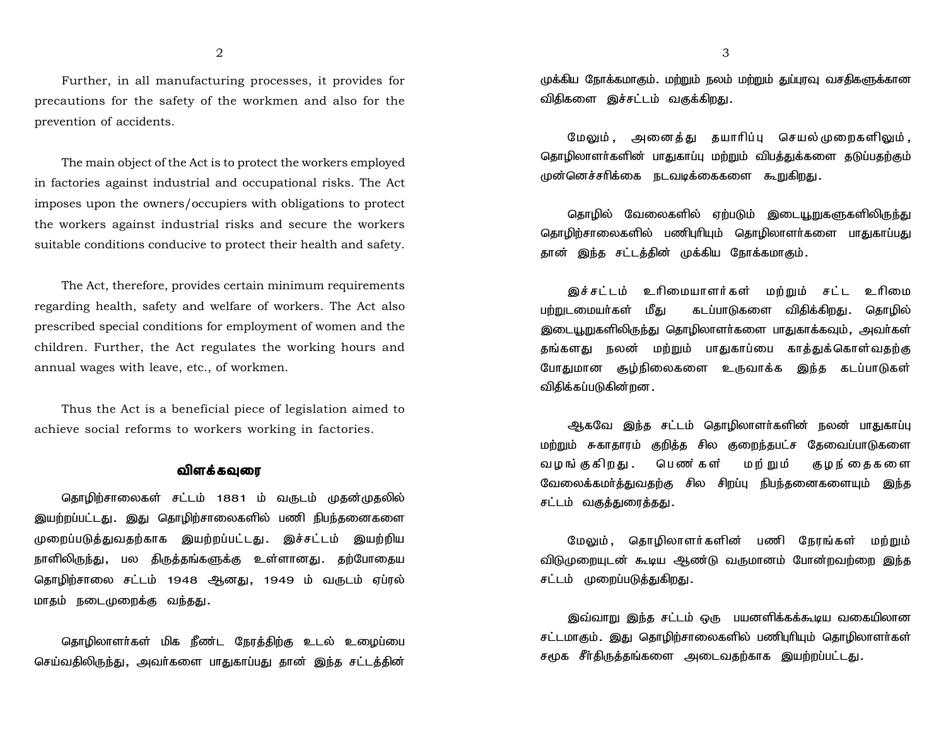Further, in all manufacturing processes, it provides for precautions for the safety of the workmen and also for the prevention of accidents.

The main object of the Act is to protect the workers employed in factories against industrial and occupational risks. The Act imposes upon the owners/occupiers with obligations to protect the workers against industrial risks and secure the workers suitable conditions conducive to protect their health and safety.

The Act, therefore, provides certain minimum requirements regarding health, safety and welfare of workers. The Act also prescribed special conditions for employment of women and the children. Further, the Act regulates the working hours and annual wages with leave, etc., of workmen.

Thus the Act is a beneficial piece of legislation aimed to achieve social reforms to workers working in factories. **the propertional piece of legislation**<br>to workers working in face<br>**விளக்கவுரை**<br>มี แม่ก<sup>5</sup> 1881 เกิดเติม ทัน

தொழிற்சாலைகள் சட்டம் 1881 ம் வருடம் முகன்முகலில் இயற்றப்பட்டது. இது தொழிற்சாலைகளில் பணி நிபந்தனைகளை **விளக்கவுரை**<br>கொழிற்சாலைகள் சட்டம் 1881 ம் வருடம் முதன்முதலில்<br>முறைப்பட்டது. இது தொழிற்சாலைகளில் பணி நிபந்தனைகளை<br>முறைப்படுத்துவதற்காக இயற்றப்பட்டது. இச்சட்டம் இயற்றிய நாளிலிருந்து, பல திருத்தங்களுக்கு உள்ளானது. தற்போதைய தொழிற்சாலை சட்டம் 1948 ஆனது, 1949 ம் வருடம் ஏப்ரல் மாதம் நடைமுறைக்கு வந்தது.

தொழிலாளர்கள் மிக நீண்ட நேரத்திற்கு உடல் உழைப்பை செய்வதிலிருந்து, அவர்களை பாதுகாப்பது தான் இந்த சட்டத்தின் முக்கிய நோக்கமாகும். மற்றும் நலம் மற்றும் துப்புரவு வசதிகளுக்கான 3<br>முக்கிய நோக்கமாகும். மற்றும் நலம் மற்றுப<br>விதிகளை இச்சட்டம் வகுக்கிறது.

)ய நோக்கமாகும். மற்றும் நலம் மற்றும் துப்புரவு வசதிகளுக்கான<br>களை இச்சட்டம் வகுக்கிறது.<br>மேலும் , அனைத்து தயாரிப்பு செயல்முறைகளிலும் ,<br>றிலாளர்களின் பாதுகாப்பு மற்றும் விபத்துக்களை தடுப்பதற்கும் தொழிலாளர்களின் பாதுகாப்பு மற்றும் விபத்துக்களை தடுப்பதற்கும் விதிகளை இச்சட்டம் வகுக்கிறது.<br>மேலும் , அனைத்து தயாரிப்பு செயல்முறை<br>தொழிலாளர்களின் பாதுகாப்பு மற்றும் விபத்துக்களை த(<br>முன்னெச்சரிக்கை நடவடிக்கைகளை கூறுகிறது.

கொமில் வேலைகளில் எற்படும் இடையூறுகளுகளிலிருந்து தொழிற்சாலைகளில் பணிபுரியும் தொழிலாளர்களை பாதுகாப்பது தான் இந்த சட்டத்தின் முக்கிய நோக்கமாகும். தொழில் வேலைகளில் ஏற்படும் இடையூறுகளுகளிலிருந்து<br>றிற்சாலைகளில் பணிபுரியும் தொழிலாளர்களை பாதுகாப்பது<br>இந்த சட்டத்தின் முக்கிய நோக்கமாகும்.<br>இச்சட்டம் உரிமையாளர்கள் மற்றும் சட்ட உரிமை<br>\_மையர்கள் மீது கடப்பாடுகளை விதிக்கிறது. த

தொழிற்சாலைகளில் பணிபுரியும் தொழிலாளர்களை பாதுகாப்பது<br>தான் இந்த சட்டத்தின் முக்கிய நோக்கமாகும்.<br>இச்சட்டம் உரிமையாளர்கள் மற்றும் சட்ட உரிமை<br>பற்றுடமையர்கள் மீது கடப்பாடுகளை விதிக்கிறது. தொழில்<br>இடையூறுகளிலிருந்து தொழிலாளர்கள இச்சட்டம் உரிமையாளர்கள் மற்றும் சட்ட உரிமை<br>பற்றுடமையர்கள் மீது கடப்பாடுகளை விதிக்கிறது. தொழில்<br>இடையூறுகளிலிருந்து தொழிலாளர்களை பாதுகாக்கவும், அவர்கள்<br>தங்களது நலன் மற்றும் பாதுகாப்பை காத்துக்கொள்வதற்கு<br>போதுமான சூழ்நிலைகளை இச்சட்டம் உரிமையாளர்கள் மற்றும் சட்ட உரிமை<br>பற்றுடமையர்கள் மீது கடப்பாடுகளை விதிக்கிறது. தொழில்<br>இடையூறுகளிலிருந்து தொழிலாளர்களை பாதுகாக்கவும், அவர்கள்<br>தங்களது நலன் மற்றும் பாதுகாப்பை காத்துக்கொள்வதற்கு<br>போதுமான சூழ்நிலைகளை பற்றுடமையர்கள் மீது கடப்பாடுகளை விதிக்கிறது. தொழில்<br>இடையூறுகளிலிருந்து தொழிலாளர்களை பாதுகாக்கவும்,அவர்கள்<br>தங்களது நலன் மற்றும் பாதுகாப்பை காத்துக்கொள்வதற்கு<br>போதுமான சூழ்நிலைகளை உருவாக்க இந்த கடப்பாடுகள்<br>விதிக்கப்படுகின்றன

ஆகவே இந்த சட்டம் தொழிலாளர்களின் நலன் பாதுகாப்பு மற்றும் சுகாதாரம் குறித்த சில குறைந்தபட்ச தேவைப்பாடுகளை விதிக்கப்படுகின்றன .<br>- ஆகவே இந்த சட்டம் தொழிலாளர்களின் நலன் பாதுகாப்பு<br>மற்றும் சுகாதாரம் குறித்த சில குறைந்தபட்ச தேவைப்பாடுகளை<br>வழங்குகிறது . பெண ்கள் மற்றும் - குழந்தைகளை<br>வேலைக்கமர்த்துவதற்கு சில சிறப்பு நிபந்தனைகளையும் இ வேலைக்கமர்த்துவதற்கு சில சிறப்பு நிபந்தனைகளையும் இந்த சட்டம் வகுத்துரைத்தது. NkYk ;> njhopyhsh ;fspd ; gzp Neuq ;fs ; kw ;Wk ;

விடுமுறையுடன் கூடிய ஆண்டு வருமானம் போன்றவற்றை இந்த சட்டம் முறைப்படுத்துகிறது.

இவ்வாறு இந்த சட்டம் ஒரு பயனளிக்கக்கூடிய வகையிலான சட்டமாகும். இது தொழிற்சாலைகளில் பணிபுரியும் தொழிலாளர்கள் சமூக சீர்திருத்தங்களை அடைவதற்காக இயற்றப்பட்டது.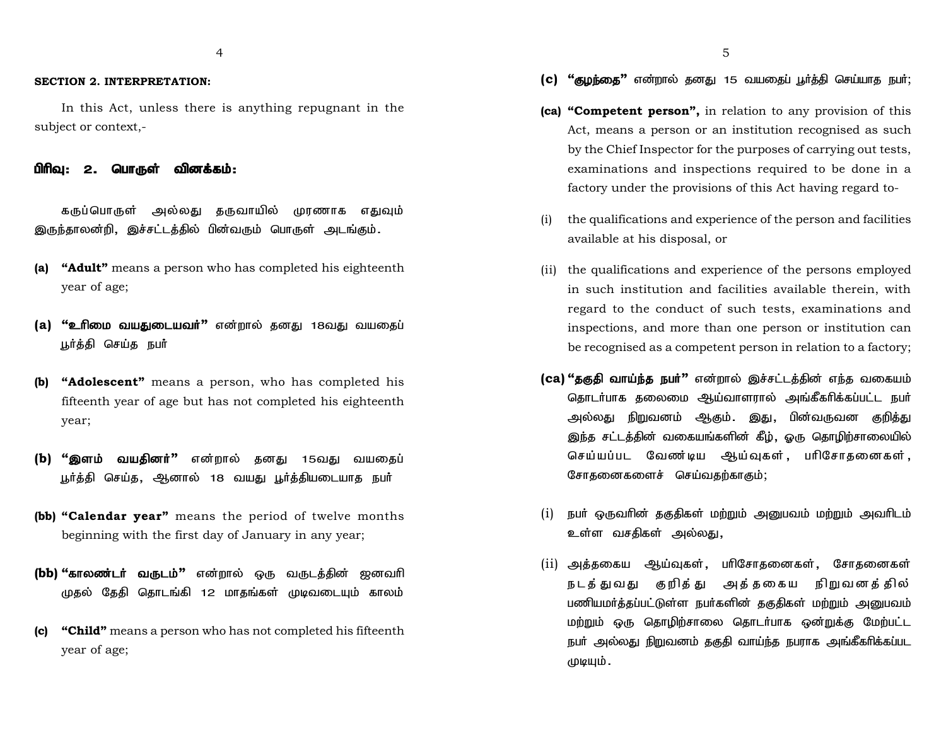### **SECTION 2. INTERPRETATION:**

In this Act, unless there is anything repugnant in the subject or context, **get Transfer :** In this Act, unless there is anything repugnal subject or context,-<br>subject or context,-<br>**find: 2. Guntes in alloged in the subject or context,-**

ect or corrtext,-<br>**|: 2. மொருள் வினக்கம் ;**<br>கருப்பொருள் அல்லது தருவாயில் முரணாக எதுவும்<br>ந்தாலன்றி, இச்சட்டத்தில் பின்வரும் பொருள் அடங்கும் . **பிரிவு: 2. பொருள் வினக்கம்:**<br>கருப்பொருள் அல்லது தருவாயில் முரணாக எதுவும்<br>இருந்தாலன்றி, இச்சட்டத்தில் பின்வரும் பொருள் அடங்கும்.

- **(a) "Adult"** means a person who has completed his eighteenth year of age;
- $(a)$  "உரிமை வயதுடையவர்" என்றால் தனது 18வது வயதைப் பூர்த்தி செய்த நபர்
- **(b) "Adolescent"** means a person, who has completed his fifteenth year of age but has not completed his eighteenth year; **(b) "Adolescent"** means a person, who has completed his<br>fifteenth year of age but has not completed his eighteenth<br>year;<br>**(b) "இளம் வயதினர்"** என்றால் தனது 15வது வயதைப்<br>பூர்த்தி செய்த, ஆனால் 18 வயது பூர்த்தியடையாத நபர்
- பூர்த்தி செய்த, ஆனால் 18 வயது பூர்த்தியடையாத நபர்
- **(bb) "Calendar year"** means the period of twelve months beginning with the first day of January in any year;
- **(bb) "Calendar year"** means the period of twelve months<br>beginning with the first day of January in any year;<br>**(bb) "காலண்டர் வருடம்"** என்றால் ஒரு வருடத்தின் ஜனவரி<br>முதல் தேதி தொடங்கி 12 மாதங்கள் முடிவடையும் கால **"Calendar year"** means the period of twelve months<br>beginning with the first day of January in any year;<br>**"காலண்டர் வருடம்"** என்றால் ஒரு வருடத்தின் ஜனவரி<br>முதல் தேதி தொடங்கி 12 மாதங்கள் முடிவடையும் காலம்
- **(c) "Child"** means a person who has not completed his fifteenth year of age;
- **(c) "சூமந்தை"** என்றால் கனது 15 வயகைப் பூர்க்கி செய்யாக நபர்;
- **(ca) "Competent person",** in relation to any provision of this Act, means a person or an institution recognised as such by the Chief Inspector for the purposes of carrying out tests, examinations and inspections required to be done in a factory under the provisions of this Act having regard to-
- (i) the qualifications and experience of the person and facilities available at his disposal, or
- (ii) the qualifications and experience of the persons employed in such institution and facilities available therein, with regard to the conduct of such tests, examinations and inspections, and more than one person or institution can be recognised as a competent person in relation to a factory; regard to the conduct of such tests, examinations and<br>inspections, and more than one person or institution can<br>be recognised as a competent person in relation to a factory;<br>**(ca) "தகுதி வாய்ந்த நபர்"** என்றால் இச்சட்டத்தின
- தொடர்பாக தலைமை ஆய்வாளரால் அங்கீகரிக்கப்பட்ட நபர் அல்லது நிறுவனம் ஆகும். இது, பின்வருவன குறித்து இந்த சட்டத்தின் வகையங்களின் கீழ், ஓரு தொழிற்சாலையில் **"தகுதி வாய்ந்த நபர்"** என்றால் இச்சட்டத்தின் எந்த வகையம்<br>தொடர்பாக தலைமை ஆய்வாளரால் அங்கீகரிக்கப்பட்ட நபர்<br>அல்லது நிறுவனம் ஆகும். இது, பின்வருவன குறித்து<br>இந்த சட்டத்தின் வகையங்களின் கீழ், ஓரு தொழிற்சாலையில்<br>செய்யப்பட வேண்ட தொடர்பாக தலைமை ஆய்வாளரால் அ<br>அல்லது நிறுவனம் ஆகும். இது, பி<br>இந்த சட்டத்தின் வகையங்களின் கீழ், ஓடு<br>செய்யப்பட வேண்டிய ஆய்வுகள்,<br>சோதனைகளைச் செய்வதற்காகும்;
- $(i)$  நபர் ஒருவரின் தகுதிகள் மற்றும் அனுபவம் மற்றும் அவரிடம் உள்ள வசதிகள் அல்லது,
- (i) நபர் ஒருவரின் தகுதிகள் மற்றும் அனுபவம் மற்றும் அவரிடம்<br>உள்ள வசதிகள் அல்லது,<br>(ii) அத்தகைய ஆய்வுகள், பரிசோதனைகள், சோதனைகள்<br>நடத்துவது குறித்து அத்தகைய நிறுவனத்தில் நபர் ஒருவரின் தகுதிகள் மற்றும் அனுபவம் மற்றும் அவரிடம்<br>உள்ள வசதிகள் அல்லது,<br>அத்தகைய ஆய்வுகள், பரிசோதனைகள், சோதனைகள்<br>நடத்துவது குறித்து அத்தகைய நிறுவனத்தில்<br>பணியமர்த்தப்பட்டுள்ள நபர்களின் தகுதிகள் மற்றும் அனுபவம் பணியமா்த்தப்பட்டுள்ள நபா்களின் தகுதிகள் மற்றும் அனுபவம் மற்றும் ஒரு தொழிற்சாலை தொடர்பாக ஒன்றுக்கு மேற்பட்ட நபர் அல்லது நிறுவனம் தகுதி வாய்ந்த நபராக அங்கீகரிக்கப்பட நடத் துவது குறித் து<br>பணியமர்த்தப்பட்டுள்ள நபர்<br>மற்றும் ஒரு தொழிற்சாலை<br>நபர் அல்லது நிறுவனம் த<sub>@</sub><br>முடியும்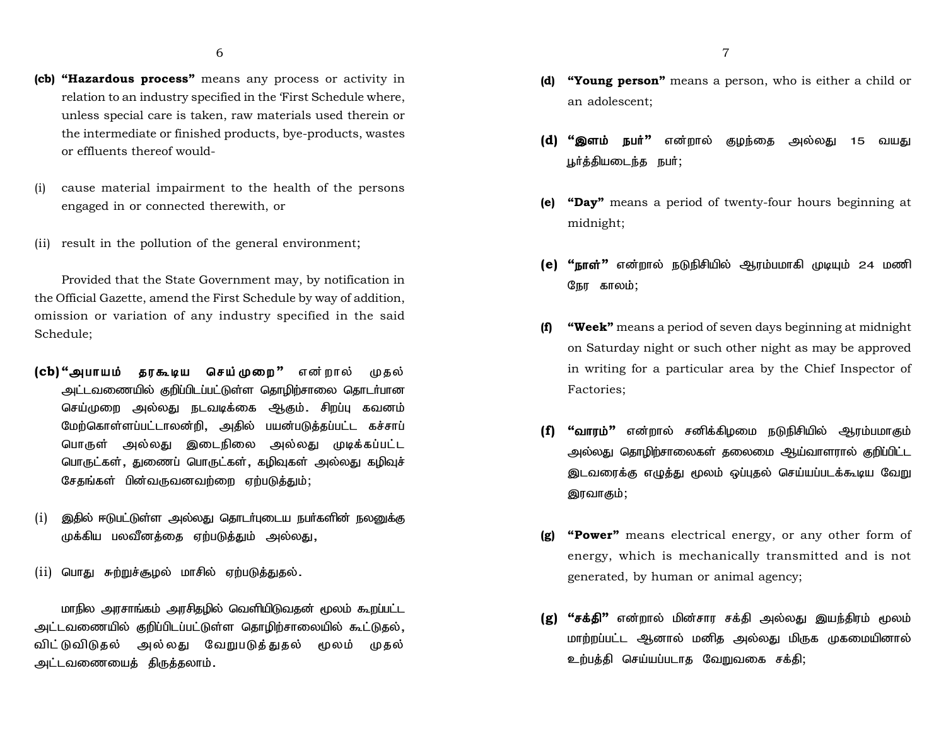- **(cb) "Hazardous process"** means any process or activity in relation to an industry specified in the 'First Schedule where, unless special care is taken, raw materials used therein or the intermediate or finished products, bye-products, wastes or effluents thereof would-
- (i) cause material impairment to the health of the persons engaged in or connected therewith, or
- (ii) result in the pollution of the general environment;

Provided that the State Government may, by notification in the Official Gazette, amend the First Schedule by way of addition, omission or variation of any industry specified in the said Schedule; the Official Gazette, amend the First Schedule by way of addition,<br>omission or variation of any industry specified in the said<br>Schedule;<br>**(cb)"அபாயம் தரகூடிய செய்முறை"** என்றால் முதல்<br>அட்டவணையில் குற

- அட்டவணையில் குறிப்பிடப்பட்டுள்ள தொழிற்சாலை தொடர்பான செய்முறை அல்லது நடவடிக்கை ஆகும். சிறப்பு கவனம் **"அபாயம் தரகூடிய செய்முறை"** என்றால் முதல்<br>அட்டவணையில் குறிப்பிடப்பட்டுள்ள தொழிற்சாலை தொடர்பான<br>செய்முறை அல்லது நடவடிக்கை ஆகும். சிறப்பு கவனம்<br>மேற்கொள்ளப்பட்டாலன்றி, அதில் பயன்படுத்தப்பட்ட கச்சாப்<br>பொருள் அல்லது இடைநிலை அல்ல **"அபாயம் தரகூடிய செய்முறை"** என்றால் முதல்<br>அட்டவணையில் குறிப்பிடப்பட்டுள்ள தொழிற்சாலை தொடர்பான<br>செய்முறை அல்லது நடவடிக்கை ஆகும். சிறப்பு கவனம்<br>மேற்கொள்ளப்பட்டாலன்றி, அதில் பயன்படுத்தப்பட்ட கச்சாப்<br>பொருள் அல்லது இ பொருட்கள், துணைப் பொருட்கள், கழிவுகள் அல்லது கழிவுச் சேதங்கள் பின்வருவனவற்றை ஏற்படுத்தும்;
- $(i)$  இதில் ஈடுபட்டுள்ள அல்லது தொடர்புடைய நபர்களின் நலனுக்கு முக்கிய பலவீனக்கை ஏற்படுக்தும் அல்லது,
- $(i)$  பொது சுற்றுச்சூழல் மாசில் ஏற்படுத்துதல்.

மாநில அரசாங்கம் அரசிதழில் வெளியிடுவதன் மூலம் கூறப்பட்ட அட்டவணையில் குறிப்பிடப்பட்டுள்ள தொழிற்சாலையில் கூட்டுதல், (ii) பொது சுற்றுச்சூழல் மாசில் ஏற்படுத்துதல்.<br>மாநில அரசாங்கம் அரசிதழில் வெளியிடுவதன் மூலம் கூறப்பட்ட<br>அட்டவணையில் குறிப்பிடப்பட்டுள்ள தொழிற்சாலையில் கூட்டுதல்,<br>விட்டுவிடுதல் அல்லது வேறுபடுத்துதல் மூலம் முதல்<br>அட்டவணையைத .அட்டவணையைக் கிருக்கலாம்.

- **(d) "Young person"** means a person, who is either a child or an adolescent; **(d) "Young person"** means a person, who is either a child or<br>an adolescent;<br>**(d) "இளம் நபர்"** என்றால் குழந்தை அல்லது 15 வயது<br>பூர்த்தியடைந்த நபர்;
- பூர்த்தியடைந்த நபர்;
- **(e) "Day"** means a period of twenty-four hours beginning at midnight;
- **(e) "நாள்"** என்றால் நடுநிசியில் ஆரம்பமாகி முடியும் 24 மணி நேர காலம்;
- **(f) "Week"** means a period of seven days beginning at midnight on Saturday night or such other night as may be approved in writing for a particular area by the Chief Inspector of Factories; on Saturday hight or such other hight as may be approved<br>in writing for a particular area by the Chief Inspector of<br>**Factories;**<br>**(f) "வாரம்"** என்றால் சனிக்கிழமை நடுநிசியில் ஆரம்பமாகும்<br>அல்லது தொழிற்சாலைகள் தலைமை ஆய்வா
- அல்லது கொழிற்சாலைகள் கலைமை ஆய்வாளரால் குறிப்பிட்ட இடவரைக்கு எழுத்து மூலம் ஒப்புதல் செய்யப்படக்கூடிய வேறு **"வாரம்"** என்றால் சனிக்கிழ<br>அல்லது தொழிற்சாலைகள் த<br>இடவரைக்கு எழுத்து மூலம் <sub>6</sub><br>இரவாகும்;
- **(g) "Power"** means electrical energy, or any other form of energy, which is mechanically transmitted and is not generated, by human or animal agency;
- (g) "சக்தி" என்றால் மின்சார சக்தி அல்லது இயந்திரம் மூலம் மாற்றப்பட்ட ஆனால் மனித அல்லது மிருக முகமையினால் உற்பத்தி செய்யப்படாக வேறுவகை சக்கி;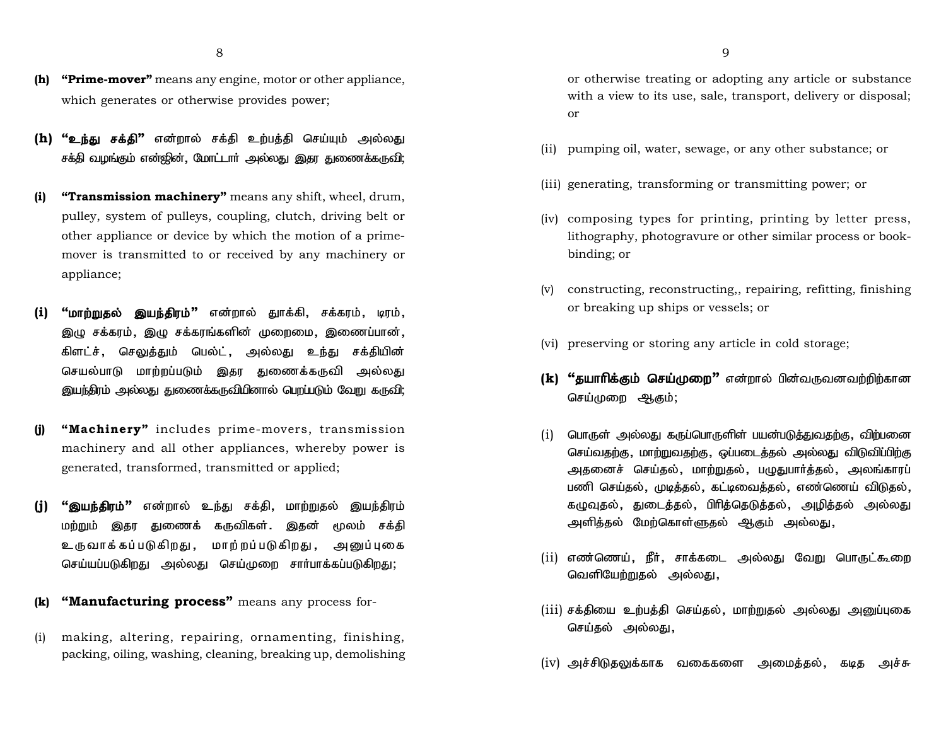- **(h) "Prime-mover"** means any engine, motor or other appliance, which generates or otherwise provides power;
- **(h) "Prime-mover"** means any engine, motor or other appliance,<br>which generates or otherwise provides power;<br>**(h) "உந்து சக்தி"** என்றால் சக்தி உற்பத்தி செய்யும் அல்லது<br>சக்தி வழங்கும் என்ஜின், மோட்டார் அல்லது இதர துணைக்கரு சக்தி வழங்கும் என்ஜின், மோட்டார் அல்லது இதூ துணைக்கருவி;
- **(i) "Transmission machinery"** means any shift, wheel, drum, pulley, system of pulleys, coupling, clutch, driving belt or other appliance or device by which the motion of a primemover is transmitted to or received by any machinery or appliance; other appliance or device by which the motion of a prime-<br>mover is transmitted to or received by any machinery or<br>appliance;<br>**(i) "மாற்றுதல் இயந்திரம்"** என்றால் துாக்கி, சக்கரம், டிரம்,<br>இழு சக்கரம், இழு சக்கரங்களின் முறைம
- இழு சக்கரம், இழு சக்கரங்களின் முறைமை, இணைப்பான், appliance;<br>**"மாற்றுதல் இயந்திரம்"** என்றால் துாக்கி, சக்கரம், டிரம்,<br>இழு சக்கரம், இழு சக்கரங்களின் முறைமை, இணைப்பான்,<br>கிளட்ச், செலுத்தும் பெல்ட், அல்லது உந்து சக்தியின்<br>செயல்பாடு மாற்றப்படும் இதர துணைக்கருவி அல்லது **"மாற்றுதல் இயந்திரம்"** என்றால் தூக்கி, சக்கரம், டிரம்,<br>இழு சக்கரம், இழு சக்கரங்களின் முறைமை, இணைப்பான்,<br>கிளட்ச், செலுத்தும் பெல்ட், அல்லது உந்து சக்தியின்<br>செயல்பாடு மாற்றப்படும் இதர துணைக்கருவி அல்லது<br>இயந்திரம்அல்லது துண இயந்திரம் ,அல்லது துணைக்கருவியினால் பெறப்படும் வேறு கருவி;
- **(j) "Machinery"** includes prime-movers, transmission machinery and all other appliances, whereby power is generated, transformed, transmitted or applied; **(j) "Machinery"** includes prime-movers, transmission<br>machinery and all other appliances, whereby power is<br>generated, transformed, transmitted or applied;<br>**(j) "இயந்திரம்"** என்றால் உந்து சக்தி, மாற்றுதல் இயந்திரம்<br>மற்றும்
- machinery and all other appliances, whereby power is<br>generated, transformed, transmitted or applied;<br>**"இயந்திரம்"** என்றால் உந்து சக்தி, மாற்றுதல் இயந்திரம்<br>மற்றும் இதர துணைக் கருவிகள். இதன் மூலம் சக்தி<br>உருவாக்கப்படுகிறது, generated, transformed, transmitted or applied;<br>**"இயந்திரம்"** என்றால் உந்து சக்தி, மாற்றுதல் இயந்திரம்<br>மற்றும் இதர துணைக் கருவிகள். இதன் மூலம் சக்தி<br>உருவாக்கப்படுகிறது, மாற்றப்படுகிறது, அனுப்புகை<br>செய்யப்படுகிறது அல்லது செ செய்யப்படுகிறது அல்லது செய்முறை சார்பாக்கப்படுகிறது;
- **(k) "Manufacturing process"** means any process for-
- (i) making, altering, repairing, ornamenting, finishing, packing, oiling, washing, cleaning, breaking up, demolishing

or otherwise treating or adopting any article or substance with a view to its use, sale, transport, delivery or disposal; or

- (ii) pumping oil, water, sewage, or any other substance; or
- (iii) generating, transforming or transmitting power; or
- (iv) composing types for printing, printing by letter press, lithography, photogravure or other similar process or bookbinding; or
- (v) constructing, reconstructing,, repairing, refitting, finishing or breaking up ships or vessels; or
- (vi) preserving or storing any article in cold storage;
- (k) "தயாரிக்கும் செய்முறை" என்றால் பின்வருவனவற்றிற்கான செய்முறை ஆகும்;
- $(i)$  பொருள் அல்லது கருப்பொருளிள் பயன்படுத்துவதற்கு, விற்பனை செய்வதற்கு, மாற்றுவதற்கு, ஒப்படைத்தல் அல்லது விடுவிப்பிற்கு செய்முறை ஆகும்;<br>பொருள் அல்லது கருப்பொருளிள் பயன்படுத்துவதற்கு, விற்பனை<br>செய்வதற்கு, மாற்றுவதற்கு, ஒப்படைத்தல் அல்லது விடுவிப்பிற்கு<br>அதனைச் செய்தல், மாற்றுதல், பழுதுபாா்த்தல், அலங்காரப்<br>பணி செய்தல், முடித்தல், கட்டிவைத்தல் பணி செய்தல், முடித்தல், கட்டிவைத்தல், எண்ணெய் விடுதல், கழுவுதல், துடைத்தல், பிரித்தெடுத்தல், அழித்தல் அல்லது அளித்தல் மேற்கொள்ளுதல் ஆகும் அல்லது,
- (ii) எண்ணெய், நீர், சாக்கடை அல்லது வேறு பொருட்கூறை வெளியேற்றுதல் அல்லது,
- (iii) சக்தியை உற்பத்தி செய்தல், மாற்றுதல் அல்லது அனுப்புகை செய்தல் அல்லது, ்பார் சிசிசி பார் பார் பிரிதி ;<br>பிரித்தியை உற்பத்தி செய்தல், மாற்றுதல் அல்லது அனுப்புகை<br>செய்தல் அல்லது,<br>(iv) அச்சிடுதலுக்காக வகைகளை அமைத்தல், கடித அச்சு
-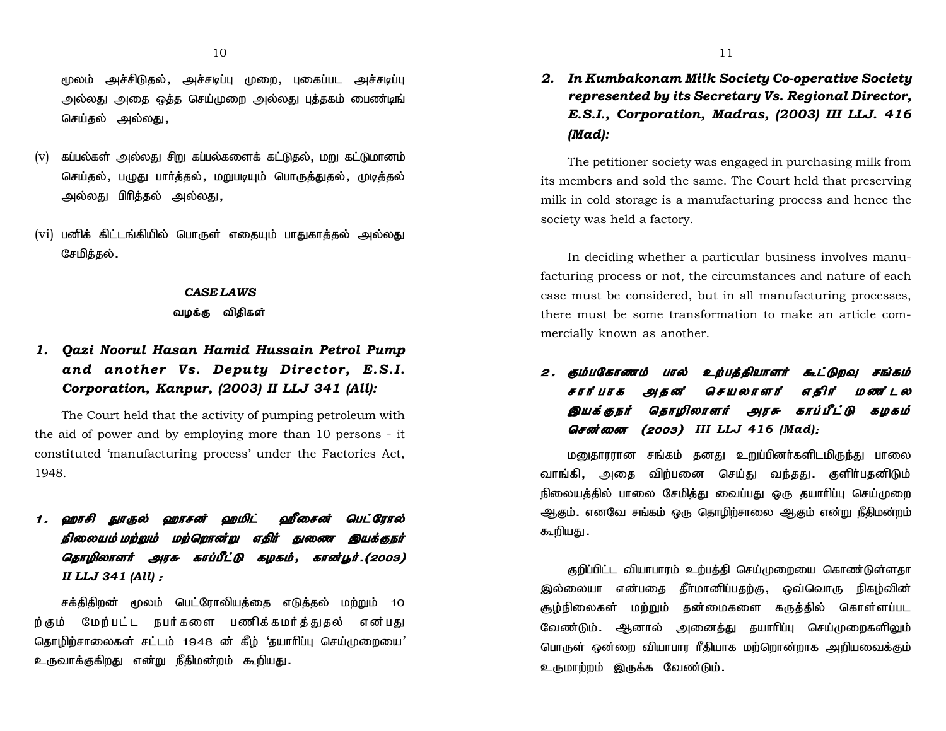10<br>மூலம் அச்சிடுதல், அச்சடிப்பு முறை, புகைப்பட அச்சடிப்பு<br>அல்லது அதை ஒத்த செய்முறை அல்லது புத்தகம் பைண்டிங் அல்லது அதை ஒத்த செய்முறை அல்லது புத்தகம் பைண்டிங் செய்தல் அல்லது,

- $(v)$  கப்பல்கள் அல்லது சிறு கப்பல்களைக் கட்டுதல், மறு கட்டுமானம் செய்தல், பழுது பார்த்தல், மறுபடியும் பொருத்துதல், முடித்தல் அல்லது பிரித்தல் அல்லது,
- (vi) பனிக் கிட்டங்கியில் பொருள் எதையும் பாதுகாக்கல் அல்லது சேமித்தல். <sub>போருள</sub>் எதை<sub>யும்</sub> பாதுகாதத**ு** கு<br>*CASE LAWS*<br>வழக்கு விதிகள்

# *CASE LAWS*

*1. Qazi Noorul Hasan Hamid Hussain Petrol Pump* المستطرقة CASE LAWS<br>Qazi Noorul Hasan Hamid Hussain Petrol Pump<br>and another Vs. Deputy Director, E.S.I.<br>Corporation, Kanpur, (2003) II LLJ 341 (All): *Corporation, Kanpur, (2003) II LLJ 341 (All):*

The Court held that the activity of pumping petroleum with the aid of power and by employing more than 10 persons - it constituted 'manufacturing process' under the Factories Act, 1948.

## *<sup>1</sup> . `hrp EhUy ; `hrd ; `kpl; ` Pird ; ngl ;Nuhy ; e piyak ; kw ;Wk ; kw ;nwhd ;W vjph ; Jiz ,af ;Feh ; njhopyhsh ; muR fhg ;g Pl ;L fofk ;, fhd ;G+h ;.(2003) II LLJ 341 (All) :*

சக்திதிறன் மூலம் பெட்ரோலியத்தை எடுத்தல் மற்றும் 10 *வுதாழிலாளர் அரசு காப்பீட்டு கழகம், கான்பூர்.(2003)<br>பெட்டர் அரசு காப்பீட்டு கழகம், கான்பூர்.(2003)<br>II LLJ 341 (All) ;<br>ந்கும் மேற்பட்ட நபர்களை பணிக்கமர்த்துதல் என்பது<br>தொழிற்சாலைகள் சட்டம் 1948 ன் கீழ் 'தயாரிப்பு செய்மு* தொழிற்சாலைகள் சட்டம் 1948 ன் கீழ் 'தயாரிப்பு செய்முறையை' உருவாக்குகிறது என்று நீதிமன்றம் கூறியது.

*2. In Kumbakonam Milk Society Co-operative Society represented by its Secretary Vs. Regional Director, E.S.I., Corporation, Madras, (2003) III LLJ. 416 (Mad):*

The petitioner society was engaged in purchasing milk from its members and sold the same. The Court held that preserving milk in cold storage is a manufacturing process and hence the society was held a factory.

In deciding whether a particular business involves manufacturing process or not, the circumstances and nature of each case must be considered, but in all manufacturing processes, there must be some transformation to make an article commercially known as another.

### *<sup>2</sup> . Fk ;gNfhzk ; ghy ; cw ;gj ;jpahsh ; \$l ;LwT rq ;fk ;* சார்பாக அகன் செயலாளர் எகிர் மணப்ல இயக்குநர் தொழிலாளர் அரசு காப்பீட்டு கழகம் *nrd ;id (2003) III LLJ 416 (Mad):*

மனுதாரரான சங்கம் தனது உறுப்பினர்களிடமிருந்து பாலை சாா பாக அதன் செயலாளா எதார மண்டல்<br>இயக்குநர் தொழிலாளர் அரசு காப்பீட்டு கழகம்<br>சென்னை (2003) III LLJ 416 (Mad).<br>மனுதாரரான சங்கம் தனது உறுப்பினர்களிடமிருந்து பாலை<br>வாங்கி, அதை விற்பனை செய்து வந்தது. குளிர்பதனிடும்<br>நிலையத்தில் ப நிலையத்தில் பாலை சேமித்து வைப்பது ஒரு தயாரிப்பு செய்முறை ஆகும். எனவே சங்கம் ஒரு தொழிற்சாலை ஆகும் என்று நீதிமன்றம் கூறியது.

குறிப்பிட்ட வியாபாரம் உற்பத்தி செய்முறையை கொண்டுள்ளதா ஆகும். எனவே சங்கம் ஒரு தொழிற்சாலை ஆகும் என்று நீதிமன்றம்<br>கூறியது.<br>குறிப்பிட்ட வியாபாரம் உற்பத்தி செய்முறையை கொண்டுள்ளதா<br>இல்லையா என்பதை தீா்மானிப்பதற்கு, ஒவ்வொரு நிகழ்வின்<br>சூழ்நிலைகள் மற்றும் தன்மைகளை கருத்தில் கொள கூறியது .<br>குறிப்பிட்ட வியாபாரம் உற்பத்தி செய்முறையை கொண்டுள்ளதா<br>இல்லையா என்பதை தீா்மானிப்பதற்கு ,ஒவ்வொரு நிகழ்வின்<br>சூழ்நிலைகள் மற்றும் தன்மைகளை கருத்தில் கொள்ளப்பட<br>வேண்டும் .ஆனால் அனைத்து தயாரிப்பு செய்முறைகளிலும் குறிப்பிட்ட வியாபாரம் உற்பத்தி செய்முறையை கொண்டுள்ளதா<br>இல்லையா என்பதை தீா்மானிப்பதற்கு, ஒவ்வொரு நிகழ்வின்<br>சூழ்நிலைகள் மற்றும் தன்மைகளை கருத்தில் கொள்ளப்பட<br>வேண்டும். ஆனால் அனைத்து தயாாிப்பு செய்முறைகளிலும்<br>பொருள பொருள் ஒன்றை வியாபார ரீதியாக மற்றொன்றாக அறியவைக்கும் உருமாற்றம் இருக்க வேண்டும்.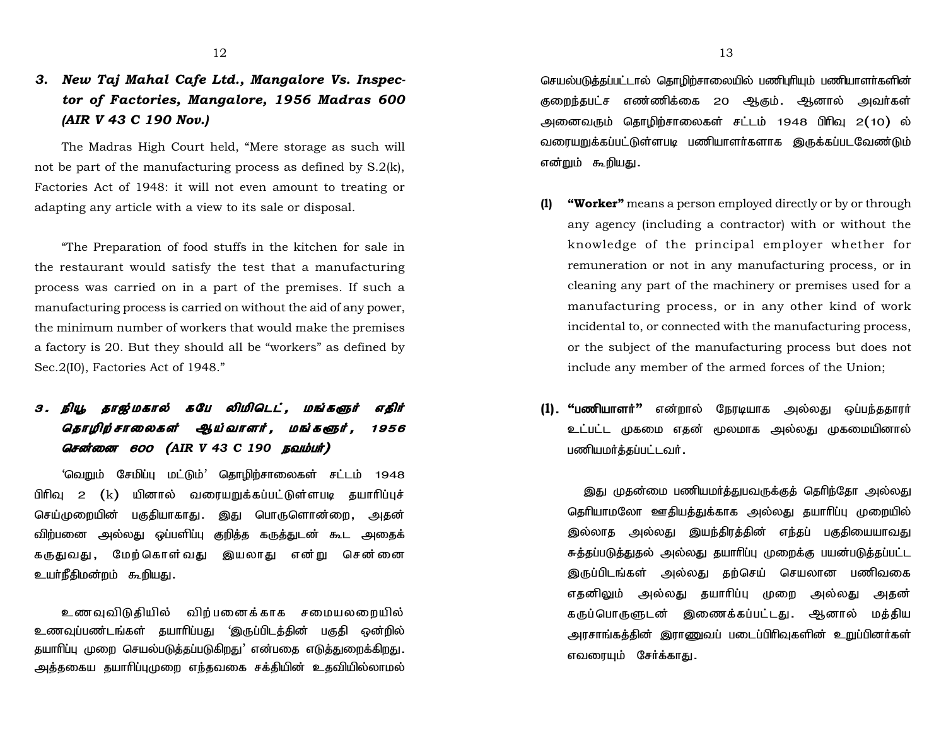# *3. New Taj Mahal Cafe Ltd., Mangalore Vs. Inspector of Factories, Mangalore, 1956 Madras 600 (AIR V 43 C 190 Nov.)*

The Madras High Court held, "Mere storage as such will not be part of the manufacturing process as defined by S.2(k), Factories Act of 1948: it will not even amount to treating or adapting any article with a view to its sale or disposal.

"The Preparation of food stuffs in the kitchen for sale in the restaurant would satisfy the test that a manufacturing process was carried on in a part of the premises. If such a manufacturing process is carried on without the aid of any power, the minimum number of workers that would make the premises a factory is 20. But they should all be "workers" as defined by Sec.2(I0), Factories Act of 1948."

# 3. நியூ தாஜ்மகால் கபே லிமிடெட், மங்களுர் எதிர் *njho pw ; rhiyfs ; Ma ;thsh ; <sup>&</sup>gt;kq ;f@h ; <sup>&</sup>gt;<sup>1956</sup> nrd ;id 600 (AIR V 43 C 190 etk ;gh ;)*

'வெறும் சேமிப்பு மட்டும்' தொழிற்சாலைகள் சட்டம் 1948 *gphp gng* 2 and 10021 to:2022 y 2:2023 and 2:2023 and 2:2023 and 2:2023 and 2:2023 and 2:2023 and 2:2023 and 2:2023 and 2:2023 and also<br>also apply in the Good (AIR V 43 C 190 paubuit)<br>"வெறும் சேமிப்பு மட்டும்' தொழிற்சா க்கூட்ச சியல் கூட்டி பார்க்கு பிட்டி நடித்து நானை சித்தை பிட்டி போர்க்கு பிட்டி பார்க்கு பிட்டி பார்க்கு பிரிவ<br>பிரிவு 2 (k) யினால் வரையறுக்கப்பட்டுள்ளபடி தயாரிப்புச்<br>செய்முறையின் பகுதியாகாது. இது பொருளொன்றை, அதன்<br>விற்பனை விற்பனை அல்லது ஒப்பளிப்பு குறித்த கருத்துடன் கூட அதைக் ் 'வெறும் சேமியபு மடடும்´ தொழிறசாலைகள் சடடம் 1948<br>பிரிவு 2 (k) யினால் வரையறுக்கப்பட்டுள்ளபடி தயாரிப்புச்<br>செய்முறையின் பகுதியாகாது. இது பொருளொன்றை, அதன்<br>விற்பனை அல்லது ஒப்பளிப்பு குறித்த கருத்துடன் கூட அதைக்<br>கருதுவது, மேற் உயர்நீதிமன்றம் கூறியது. னை அல்லது ஒப்பளிப்பு குறித்த கருத்துடன் கூட அதைக்<br>பவது, மேற்கொள்வது இயலாது என்று சென்னை<br>நீதிமன்றம் கூறியது.<br>உணவுவிடுதியில் விற்பனைக்காக சமையலறையில்<br>வுப்பண்டங்கள் தயாரிப்பது 'இருப்பிடத்தின் பகுதி ஒன்றில்

உணவப்பண்டங்கள் கயாரிப்பது 'இருப்பிடத்தின் பகுதி ஒன்றில் தயாரிப்பு முறை செயல்படுத்தப்படுகிறது' என்பதை எடுத்துறைக்கிறது. அத்தகைய தயாரிப்புமுறை எந்தவகை சக்தியின் உதவியில்லாமல்

செயல்படுத்தப்பட்டால் தொழிற்சாலையில் பணிபுரியும் பணியாளர்களின் 13<br>செயல்படுத்தப்பட்டால் தொழிற்சாலையில் பணிபுரியும் பணியாளா்களின்<br>குறைந்தபட்ச எண்ணிக்கை 20 ஆகும். ஆனால் அவா்கள்<br>அனைவரும் தொழிற்சாலைகள் சட்டம் 1948 பிரிவு 2(10) ல் அனைவரும் தொழிற்சாலைகள் சட்டம் 1948 பிரிவு 2(10) ல் வரையறுக்கப்பட்டுள்ளபடி பணியாளர்களாக இருக்கப்படவேண்டும் என்றும் கூறியது.

- **(l) "Worker"** means a person employed directly or by or through any agency (including a contractor) with or without the knowledge of the principal employer whether for remuneration or not in any manufacturing process, or in cleaning any part of the machinery or premises used for a manufacturing process, or in any other kind of work incidental to, or connected with the manufacturing process, or the subject of the manufacturing process but does not include any member of the armed forces of the Union; incidental to, or connected with the manufacturing process,<br>or the subject of the manufacturing process but does not<br>include any member of the armed forces of the Union;<br>**(1). "பணியாளர்"** என்றால் நேரடியாக அல்லது ஒய்பந்
- உட்பட்ட முகமை எதன் மூலமாக அல்லது முகமையினால் பணியமர்க்கப்பட்டவர்.

இது முதன்மை பணியமர்த்துபவருக்குத் தெரிந்தோ அல்லது தெரியாமலோ ஊதியத்துக்காக அல்லது தயாரிப்பு முறையில் இல்லாத அல்லது இயந்திரத்தின் எந்தப் பகுதியையாவது சுத்தப்படுத்துதல் அல்லது தயாரிப்பு முறைக்கு பயன்படுத்தப்பட்ட , இது முதல்லைய் பணியமாததுமவருக்குத் தொருதோ அல்லது<br>தெரியாமலோ ஊதியத்துக்காக அல்லது தயாரிப்பு முறையில்<br>இல்லாத அல்லது இயந்திரத்தின் எந்தப் பகுதியையாவது<br>சுத்தப்படுத்துதல் அல்லது தயாரிப்பு முறைக்கு பயன்படுத்தப்பட்ட<br>இருப்பிடங்கள தொயாமலோ ஊதயததுககாக அல்லது தயாாப்பு முறையல்<br>இல்லாத அல்லது இயந்திரத்தின் எந்தப் பகுதியையாவது<br>சுத்தப்படுத்துதல் அல்லது தயாரிப்பு முறைக்கு பயன்படுத்தப்பட்ட<br>இருப்பிடங்கள் அல்லது தம்செய் செயலான பணிவகை<br>எதனிலும் அல்லது தயாரிப்பு இல்லாத அல்லது இயந்தரத்துன் எந்தப் பகுதுயையாவது<br>சுத்தப்படுத்துதல் அல்லது தயாரிப்பு முறைக்கு பயன்படுத்தப்பட்ட<br>இருப்பிடங்கள் அல்லது தற்செய் செயலான பணிவகை<br>எதனிலும் அல்லது தயாரிப்பு முறை அல்லது அதன்<br>கருப்பொருளுடன் இணைக்கப்பட்ட அரசாங்கத்தின் இராணுவப் படைப்பிரிவுகளின் உறுப்பினர்கள் எவரையும் சேர்க்காது.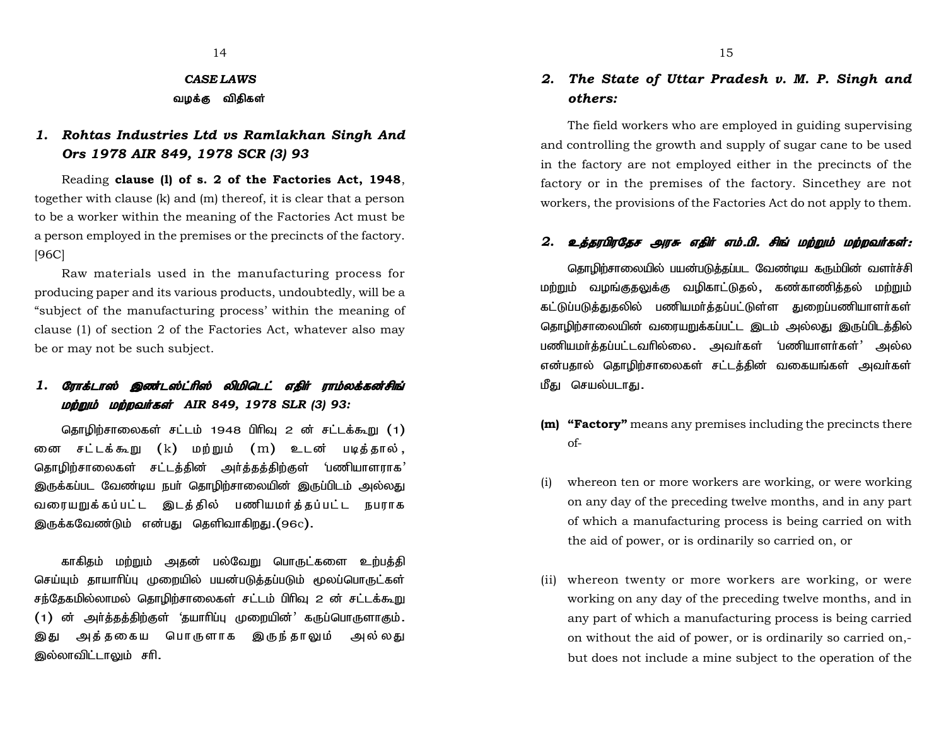# *CASE LAWS*  $14$ <br>**CASE LAWS**<br>வழக்கு விதிகள்

### *1. Rohtas Industries Ltd vs Ramlakhan Singh And Ors 1978 AIR 849, 1978 SCR (3) 93*

Reading **clause (l) of s. 2 of the Factories Act, 1948**, together with clause (k) and (m) thereof, it is clear that a person to be a worker within the meaning of the Factories Act must be a person employed in the premises or the precincts of the factory. [96C]

Raw materials used in the manufacturing process for producing paper and its various products, undoubtedly, will be a "subject of the manufacturing process' within the meaning of clause (1) of section 2 of the Factories Act, whatever also may be or may not be such subject.

### 1. கோக்டாஸ் இண்டஸ்ட்ரிஸ் லிமிடெட் எதிர் ராம்லக்கன்சிங் *kw ;Wk ; kw ;wth ;fs ; AIR 849, 1978 SLR (3) 93:*

தொழிற்சாலைகள் சட்டம் 1948 பிரிவு 2 ன் சட்டக்கூறு  $(1)$ **1.** *ரோக்டாஸ் இண்டஸ்ட்ரிஸ் லிமிடெட் எதிர் ராம்லக்கன்சிங்<br>மற்றும் மற்றவர்கள் AIR 849, 1978 SLR (3) 93:<br>கொழிற்சாலைகள் சட்டம் 1948 பிரிவு 2 ன் சட்டக்கூறு (1)<br>னை சட்டக்கூறு (k) மற்றும் (m) உடன் படித்தால்,<br>தொழிற்சாலைகள் சட்* 1. குராகடாஸ **லூசைட்ஸ்டாஸ் லம்பெட்ட எதா ராமலக்களசாவ**<br>ம**ற்றும் மற்றவர்கள் AIR 849, 1978 SLR (3) 93:**<br>கொழிற்சாலைகள் சட்டம் 1948 பிரிவு 2 ன் சட்டக்கூறு (1)<br>தொழிற்சாலைகள் சட்டத்தின் அர்த்தத்திற்குள் 'பணியாளராக'<br>இருக்கப்பட வேண் தொழிற்சாலைகள் சட்டம் 1948 பிரிவு 2 ன் சட்டக்கூறு (1)<br>னை சட்டக்கூறு (k) மற்றும் (m) உடன் படித்தால்,<br>தொழிற்சாலைகள் சட்டத்தின் அர்த்தத்திற்குள் 'பணியாளராக'<br>இருக்கப்பட வேண்டிய நபர் தொழிற்சாலையின் இருப்பிடம் அல்லது<br>வரையறுக்கப் இருக்கவேண்டும் என்பது தெளிவாகிறது. $($ 96 $c$ ).

காகிதம் மற்றும் அதன் பல்வேறு பொருட்களை உற்பத்தி செய்யும் தாயாரிப்பு முறையில் பயன்படுத்தப்படும் மூலப்பொருட்கள் சந்தேகமில்லாமல் தொழிற்சாலைகள் சட்டம் பிரிவு 2 ன் சட்டக்கூறு (1) ன் அர்த்தத்திற்குள் 'தயாரிப்பு முறையின்' கருப்பொருளாகும். காகிதம் மற்றும் அதன் பல்வேறு பொருட்களை உற்பத்தி<br>செய்யும் தாயாரிப்பு முறையில் பயன்படுத்தப்படும் மூலப்பொருட்கள்<br>சந்தேகமில்லாமல் தொழிற்சாலைகள் சட்டம் பிரிவு 2 ன் சட்டக்கூறு<br>(1) ன் அர்த்தத்திற்குள் 'தயாரிப்பு முறையின்' கருப்ப இல்லாவிட்டாலும் சரி.

### *2. The State of Uttar Pradesh v. M. P. Singh and others:*

The field workers who are employed in guiding supervising and controlling the growth and supply of sugar cane to be used in the factory are not employed either in the precincts of the factory or in the premises of the factory. Sincethey are not workers, the provisions of the Factories Act do not apply to them.

### 2. உத்தரபிரதேச அரசு எதிர் எம்.பி. சிங் மற்றும் மற்றவர்கள்:

தொழிற்சாலையில் பயன்படுத்தப்பட வேண்டிய கரும்பின் வளர்ச்சி மற்றும் வழங்குதலுக்கு வழிகாட்டுதல், கண்காணித்தல் மற்றும் *2. உத்தரபிரதேச அரசு எதிர் எம்.பி. சிங் மற்றும் மற்றவர்கள்:<br>தொழிற்சாலையில் பயன்படுத்தப்பட வேண்டிய கரும்பின் வளர்ச்சி<br>மற்றும் வழங்குதலுக்கு வழிகாட்டுதல், கண்காணித்தல் மற்றும்<br>கட்டுப்படுத்துதலில் பணியமர்த்தப்பட்டுள்ள துறை* தொழிற்சாலையில் பயன்படுத்தப்பட வேண்டிய கரும்பின் வளர்ச்சி<br>மற்றும் வழங்குதலுக்கு வழிகாட்டுதல், கண்காணித்தல் மற்றும்<br>கட்டுப்படுத்துதலில் பணியமர்த்தப்பட்டுள்ள துறைப்பணியாளர்கள்<br>தொழிற்சாலையின் வரையறுக்கப்பட்ட இடம் அல்லது என்பதால் தொழிற்சாலைகள் சட்டத்தின் வகையங்கள் அவர்கள் மீது செயல்படாது.

- **(m) "Factory"** means any premises including the precincts there of-
- (i) whereon ten or more workers are working, or were working on any day of the preceding twelve months, and in any part of which a manufacturing process is being carried on with the aid of power, or is ordinarily so carried on, or
- (ii) whereon twenty or more workers are working, or were working on any day of the preceding twelve months, and in any part of which a manufacturing process is being carried on without the aid of power, or is ordinarily so carried on, but does not include a mine subject to the operation of the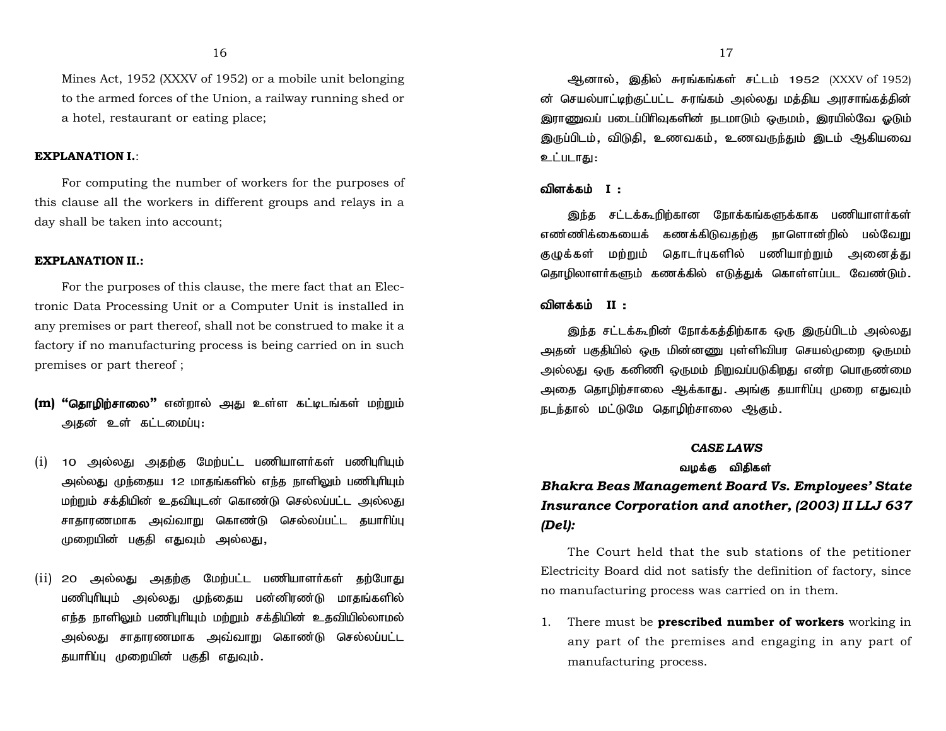Mines Act, 1952 (XXXV of 1952) or a mobile unit belonging to the armed forces of the Union, a railway running shed or a hotel, restaurant or eating place;

### **EXPLANATION I.**:

For computing the number of workers for the purposes of this clause all the workers in different groups and relays in a day shall be taken into account;

### **EXPLANATION II.:**

For the purposes of this clause, the mere fact that an Electronic Data Processing Unit or a Computer Unit is installed in any premises or part thereof, shall not be construed to make it a factory if no manufacturing process is being carried on in such premises or part thereof ; any premises or part thereof, shall not be construed to make it a<br>factory if no manufacturing process is being carried on in such<br>premises or part thereof ;<br>**(m) "தொழிற்சாலை"** என்றால் அது உள்ள கட்டிடங்கள் மற்றும்<br>அதன் உள்

- அதன் உள் கட்டமைப்பு:
- (i) 10 அல்லது அதற்கு மேற்பட்ட பணியாளர்கள் பணிபுரியும் அல்லது முந்தைய 12 மாதங்களில் எந்த நாளிலும் பணிபுரியும் மற்றும் சக்தியின் உதவியுடன் கொண்டு செல்லப்பட்ட அல்லது சாதாரணமாக அவ்வாறு கொண்டு செல்லப்பட்ட தயாரிப்பு முறையின் பகுதி எதுவும் அல்லது,
- (ii) 20 அல்லது அதற்கு மேற்பட்ட பணியாளர்கள் தற்போது பணிபுரியும் அல்லது முந்தைய பன்னிரண்டு மாதங்களில் எந்த நாளிலும் பணிபுரியும் மற்றும் சக்தியின் உதவியில்லாமல் அல்லது சாதாரணமாக அவ்வாறு கொண்டு செல்லப்பட்ட தயாரிப்பு முறையின் பகுதி எதுவும்.

ஆனால், இதில் சுரங்கங்கள் சட்டம் 1952 (XXXV of 1952) ன் செயல்பாட்டிற்குட்பட்ட சுரங்கம் அல்லது மத்திய அரசாங்கத்தின் இராணுவப் படைப்பிரிவுகளின் நடமாடும் ஒருமம், இரயில்வே ஓடும்<br>இருப்பிடம், விடுதி, உணவகம், உணவருந்தும் இடம் ஆகியவை<br>உட்படாது:<br>**விளக்கம் I :** இருப்பிடம், விடுதி, உணவகம், உணவருந்தும் இடம் ஆகியவை உட்படாது:

இந்த சட்டக்கூறிற்கான நோக்கங்களுக்காக பணியாளர்கள் உட்படாது :<br>**விளக்கம் I :**<br>இந்த சட்டக்கூறிற்கான நோக்கங்களுக்காக பணியாளர்கள்<br>எண்ணிக்கையைக் கணக்கிடுவதற்கு நாளொன்றில் பல்வேறு<br>குழுக்கள் மற்றும் தொடர்புகளில் பணியாற்றும் அனைத்து **விளக்கம் I :**<br>இந்த சட்டக்கூறிற்கான நோக்கங்களுக்காக பணியாளர்கள்<br>எண்ணிக்கையைக் கணக்கிடுவதற்கு நாளொன்றில் பல்வேறு<br>குழுக்கள் மற்றும் தொடர்புகளில் பணியாற்றும் அனைத்து<br>தொழிலாளர்களும் கணக்கில் எடுத்துக் கொள்ளப்பட வேண்டும். தொழிலாளர்களும் கணக்கில் எடுத்துக் கொள்ளப்பட வேண்டும். எண்ணிக்கையைக் கண<br>குழுக்கள் மற்றும் தொ<br>தொழிலாளர்களும் கணக்<br>**விளக்கம் II :**<br>இர்சு ரட்டர்சு இன் <sup>க</sup>

இந்த சட்டக்கூறின் நோக்கத்திற்காக ஒரு இருப்பிடம் அல்லது அதன் பகுதியில் ஒரு மின்னணு புள்ளிவிபர செயல்முறை ஒருமம் அல்லது ஒரு கனிணி ஒருமம் நிறுவப்படுகிறது என்ற பொருண்மை அதை தொழிற்சாலை ஆக்காது. அங்கு தயாரிப்பு முறை எதுவும் இந்த சட்டக்கூறின் நோக்கத்திற்காக ஒரு இ<br>அதன் பகுதியில் ஒரு மின்னணு புள்ளிவிபர செய<br>அல்லது ஒரு கனிணி ஒருமம் நிறுவப்படுகிறது எ<br>அதை தொழிற்சாலை ஆக்காது. அங்கு தயாரிப்<br>நடந்தால் மட்டுமே தொழிற்சாலை ஆகும். <sub>ருலை ஆதுதிர</sub>ையை ஆக்கிற நடந்தால் மட்டுமே தொழிற்சாலை ஆகும்.<br>நடந்தால் மட்டுமே தொழிற்சாலை ஆகும்.<br>**CASE LAWS**<br>**Bhakra Beas Management Board Vs. Employees' State** 

### *CASE LAWS*

# *Insurance Corporation and another, (2003) II LLJ 637 (Del):*

The Court held that the sub stations of the petitioner Electricity Board did not satisfy the definition of factory, since no manufacturing process was carried on in them.

1. There must be **prescribed number of workers** working in any part of the premises and engaging in any part of manufacturing process.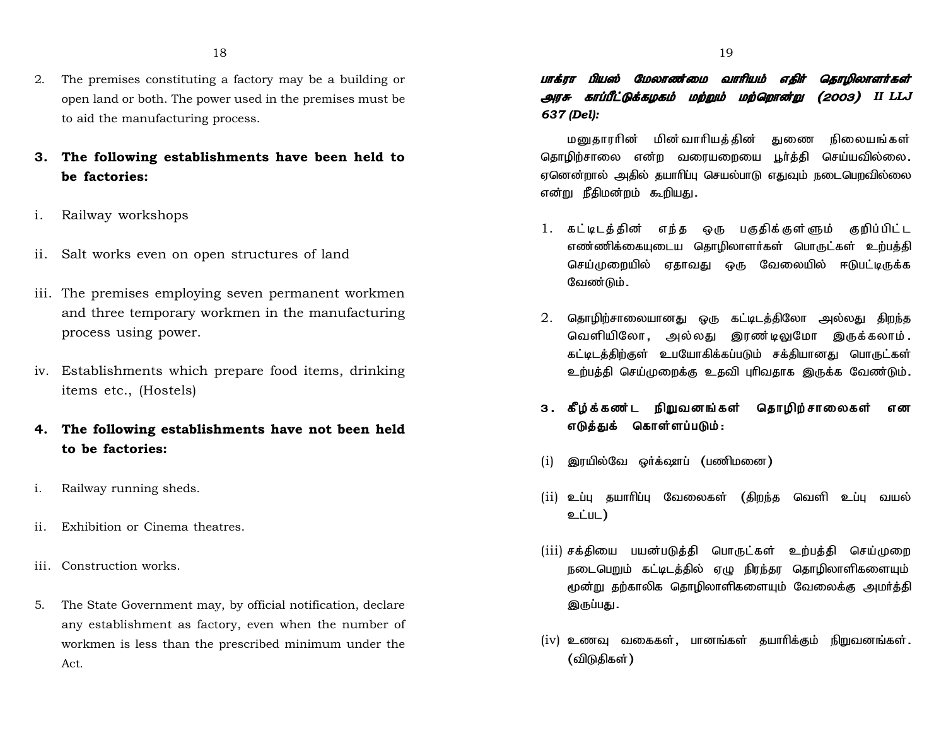- 2. The premises constituting a factory may be a building or open land or both. The power used in the premises must be to aid the manufacturing process.
- **3. The following establishments have been held to be factories:**
- i. Railway workshops
- ii. Salt works even on open structures of land
- iii. The premises employing seven permanent workmen and three temporary workmen in the manufacturing process using power.
- iv. Establishments which prepare food items, drinking items etc., (Hostels)
- **4. The following establishments have not been held to be factories:**
- i. Railway running sheds.
- ii. Exhibition or Cinema theatres.
- iii. Construction works.
- 5. The State Government may, by official notification, declare any establishment as factory, even when the number of workmen is less than the prescribed minimum under the Act.

# *ghf ;uh gpa] ; Nkyhz ;ik thhpak ; vjph ; njhopyhsh ;fs ; muR fhg ;gPl ;Lf ;fofk ; kw ;Wk ; kw ;nwhd ;W (2003) II LLJ 637 (Del):* **ரா** *பியஸ் மேலாண்மை வாரியம் எதிர் தொழிலாளர்கள்***<br>F** *காப்பீ<b>ட்டுக்கழகம் மற்றும் மற்றொன்று (2003) II LLJ<br>(Del):<br>முனுதாரரின் மின்வாரியத்தின் துணை நிலையங்கள்<br>றிற்சாலை என்ற வரையறையை பூர்த்தி செய்யவில்லை.*

*பாக்ரா பியஸ் மேலாண்மை வாரியம் எதிர் தொழிலாளர்கள்***<br>அ***ரசு காப்பீட்<b>டுக்கழகம் மற்றும் மற்றொன்று (2003) II LLJ<br>637(Del):<br>மனுதாரரின் மின்வாரியத்தின் துணை நிலையங்கள்<br>தொழிற்சாலை என்ற வரையறையை பூர்த்தி செய்யவில்லை<br>ஏனென்றால் அத* ஏனென்றால் அதில் தயாரிப்பு செயல்பாடு எதுவும் நடைபெறவில்லை என்று நீதிமன்றம் கூறியது. தொழிற்சாலை என்ற வரையறையை பூர்த்தி செய்யவில்லை.<br>ஏனென்றால் அதில் தயாரிப்பு செயல்பாடு எதுவும் நடைபெறவில்லை<br>என்று நீதிமன்றம் கூறியது.<br>1. கட்டிடத்தின் எந்த ஒரு பகுதிக்குள்ளும் குறிப்பிட்ட<br>எண்ணிக்கையுடைய தொழிலாளர்கள் பொருட

- எண்ணிக்கையுடைய தொழிலாளர்கள் பொருட்கள் உற்பத்தி ) நீதிமன்றம் கூறியது<br>கட்டிடத்தின் எந்த ஒரு பகுதிக்குள்ளும் குறிப்பிட்ட<br>எண்ணிக்கையுடைய தொழிலாளர்கள் பொருட்கள் உற்பத்தி<br>செய்முறையில் ஏதாவது ஒரு வேலையில் ஈடுபட்டிருக்க<br>வேண்டும். வேண்டும்.
- $2.$  தொழிற்சாலையானது ஒரு கட்டிடத்திலோ அல்லது திறந்த செய்முறையில் ஏதாவது ஒரு வேலையில் ஈடுபட்டிருக்க<br>வேண்டும்.<br>தொழிற்சாலையானது ஒரு கட்டிடத்திலோ அல்லது திறந்த<br>வெளியிலோ, அல்லது இரண்டிலுமோ இருக்கலாம்.<br>கட்டிடத்திற்குள் உபயோகிக்கப்படும் சக்தியானது பொருட்கள் கட்டிடத்திற்குள் உபயோகிக்கப்படும் சக்தியானது பொருட்கள்<br>உற்பத்தி செய்முறைக்கு உதவி புரிவதாக இருக்க வேண்டும்.<br>**கீழ்க்கண்ட நிறுவனங்கள் தொழிற்சாலைகள் என**<br>எ**டுத்துக் கொள்ளப்படும்:** உற்பத்தி செய்முறைக்கு உதவி புரிவதாக இருக்க வேண்டும். வெளியிலோ, அல்லது இரண்டிலுமோ இருக்கலாம்.<br>கட்டிடத்திற்குள் உபயோகிக்கப்படும் சக்தியானது பொருட்கள்<br>உற்பத்தி செய்முறைக்கு உதவி புரிவதாக இருக்க வேண்டும்.<br>3**. கீழ்க்கண்ட நிறுவனங்கள் தொழிற்சாலைகள் என**<br>எ**டுத்துக் கொள்ளப்படும்:**
- 
- $(i)$  இரயில்வே ஒர்க்ஷாப் (பணிமனை)
- $(i)$  உப்பு தயாரிப்பு வேலைகள் (திறந்த வெளி உப்பு வயல்  $p$  $i$  $p$  $l$
- (iii) rf ;jpia gad ;gLj ;jp nghUl ;fs ; cw ;gj ;jp nra ;Kiw நடைபெறும் கட்டிடத்தில் ஏழு நிரந்தர தொழிலாளிகளையும் மூன்று தற்காலிக தொழிலாளிகளையும் வேலைக்கு அமர்த்தி இருப்பது.
- $(iv)$  உணவு வகைகள், பானங்கள் தயாரிக்கும் நிறுவனங்கள்.  $($ விடுதிகள் $)$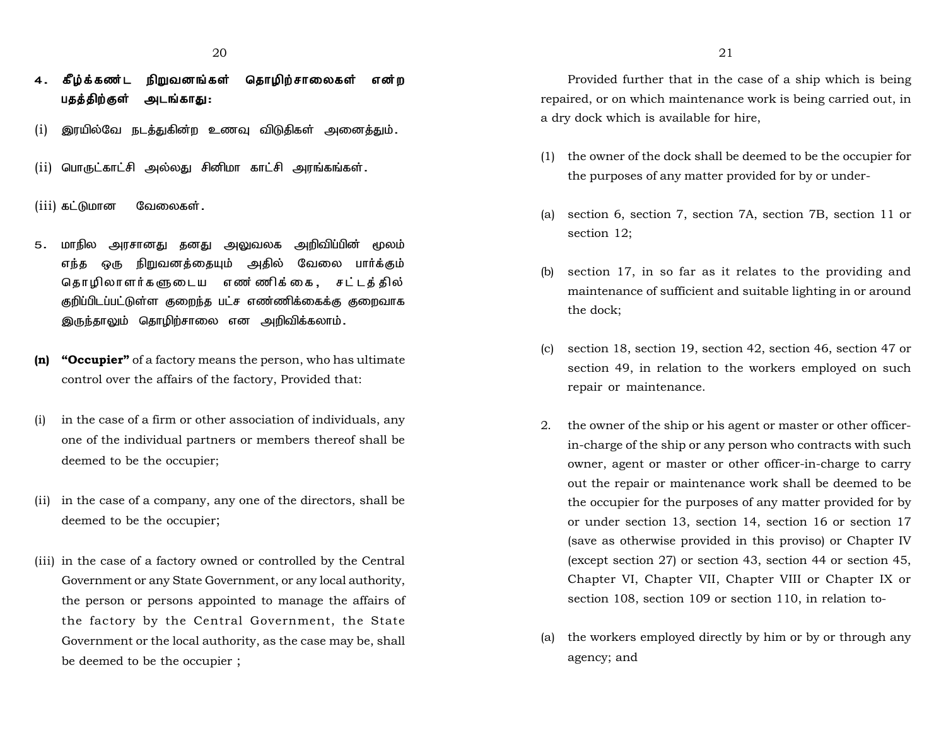<sup>20</sup><br>4. கீழ்க்கண்ட நிறுவனங்கள் தொழிற்சாலைகள் என்ற<br>பதத்திற்குள் அடங்காது:  $^{20}$ <br>கீழ்க்கண்ட நிறுவனங்கள் தொழிற்சாலைகள் என்ற<br>பதத்திற்குள் அடங்காது:

- $(i)$  இரயில்வே நடத்துகின்ற உணவு விடுதிகள் அனைத்தும்.
- $(i)$  பொருட்காட்சி அல்லது சினிமா காட்சி அரங்கங்கள்.

 $(iii)$  கட்டுமான வேலைகள்.

- 5. மாநில அரசானது தனது அலுவலக அறிவிப்பின் மூலம் கட்டுமான வேலைகள்<br>மாநில அரசானது தனது அலுவலக அறிவிப்பின் மூலம்<br>எந்த ஒரு நிறுவனத்தையும் அதில் வேலை பார்க்கும்<br>தொழிலாளர்களுடைய எண ்ணிக்கை, சட்டத்தில் கட்டுமான வேலைகள்.<br>மாநில அரசானது தனது அலுவலக அறிவிப்பின் மூலம்<br>எந்த ஒரு நிறுவனத்தையும் அதில் வேலை பார்க்கும்<br>தொழிலாளர்களுடைய எண்ணிக்கை, சட்டத்தில்<br>குறிப்பிடப்பட்டுள்ள குறைந்தபட்ச எண்ணிக்கைக்கு குறைவாக குறிப்பிடப்பட்டுள்ள குறைந்த பட்ச எண்ணிக்கைக்கு குறைவாக இருந்தாலும் தொழிற்சாலை என அறிவிக்கலாம்.
- **(n) "Occupier"** of a factory means the person, who has ultimate control over the affairs of the factory, Provided that:
- (i) in the case of a firm or other association of individuals, any one of the individual partners or members thereof shall be deemed to be the occupier;
- (ii) in the case of a company, any one of the directors, shall be deemed to be the occupier;
- (iii) in the case of a factory owned or controlled by the Central Government or any State Government, or any local authority, the person or persons appointed to manage the affairs of the factory by the Central Government, the State Government or the local authority, as the case may be, shall be deemed to be the occupier ;

Provided further that in the case of a ship which is being repaired, or on which maintenance work is being carried out, in a dry dock which is available for hire,

- (1) the owner of the dock shall be deemed to be the occupier for the purposes of any matter provided for by or under-
- (a) section 6, section 7, section 7A, section 7B, section 11 or section 12:
- (b) section 17, in so far as it relates to the providing and maintenance of sufficient and suitable lighting in or around the dock;
- (c) section 18, section 19, section 42, section 46, section 47 or section 49, in relation to the workers employed on such repair or maintenance.
- 2. the owner of the ship or his agent or master or other officerin-charge of the ship or any person who contracts with such owner, agent or master or other officer-in-charge to carry out the repair or maintenance work shall be deemed to be the occupier for the purposes of any matter provided for by or under section 13, section 14, section 16 or section 17 (save as otherwise provided in this proviso) or Chapter IV (except section 27) or section 43, section 44 or section 45, Chapter VI, Chapter VII, Chapter VIII or Chapter IX or section 108, section 109 or section 110, in relation to-
- the workers employed directly by him or by or through any agency; and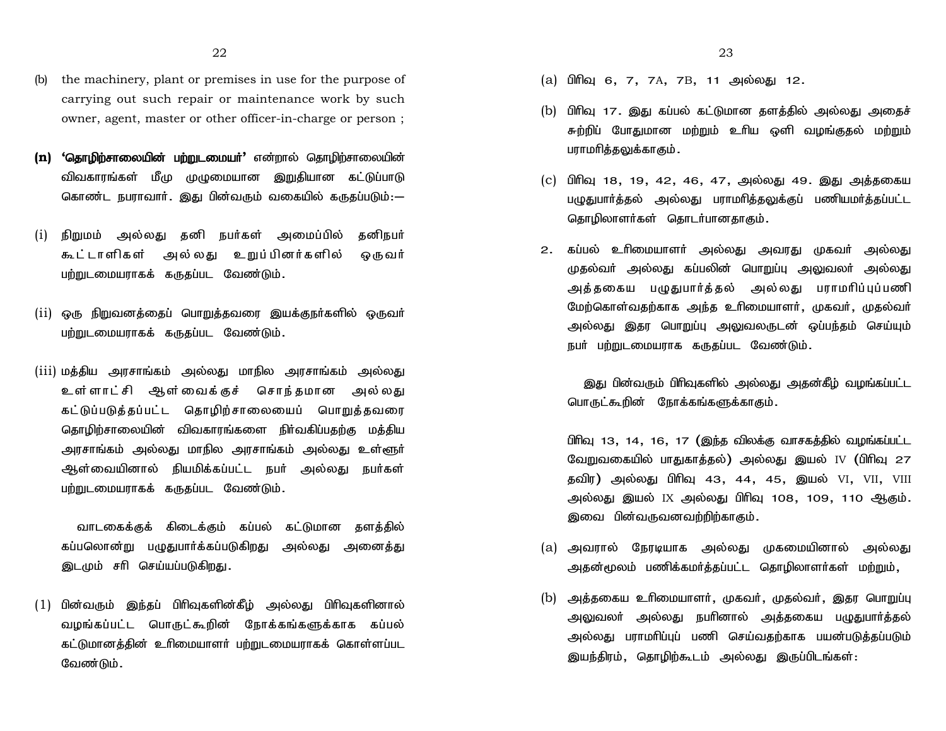- (b) the machinery, plant or premises in use for the purpose of carrying out such repair or maintenance work by such owner, agent, master or other officer-in-charge or person ;
- **(n) 'தொழிற்சாலையின் பற்றுடமையர்'** என்றால் தொழிற்சாலையின் விவகாரங்கள் மீமு முழுமையான இறுதியான கட்டுப்பாடு கொண்ட நபராவார். இது பின்வரும் வகையில் கருதப்படும்:— (**n) 'தொழிற்சாலையின் பற்றுடமையா்'** என்றால் தொழிற்சாலையின்<br>விவகாரங்கள் மீமு முழுமையான இறுதியான கட்டுப்பாடு<br>கொண்ட நபராவாா். இது பின்வரும் வகையில் கருதப்படும்:—<br>(i) நிறுமம் அல்லது தனி நபா்கள் அமைப்பில் தனிநபா்<br>கூட்டாளிகள் அல
- விவகாரங்கள் மீமு முழுமையான இறுதியான கட்டுப்பாடு<br>கொண்ட நபராவார். இது பின்வரும் வகையில் கருதப்படும்:—<br>நிறுமம் அல்லது தனி நபர்கள் அமைப்பில் தனிநபர்<br>கூட்டாளிகள் அல்லது உறுப்பினர்களில் ஒருவர்<br>பற்றுடமையராகக் கருதப்பட வேண்டும். பற்றுடமையராகக் கருதப்பட வேண்டும்.
- $(i)$  ஒரு நிறுவனத்தைப் பொறுத்தவரை இயக்குநர்களில் ஒருவர் பற்றுடமையராகக் கருதப்பட வேண்டும்.
- (iii) மத்திய அரசாங்கம் அல்லது மாநில அரசாங்கம் அல்லது ஒரு நிறுவனத்தைப் பொறுத்தவரை இயக்குநர்களில் ஒருவர்<br>பற்றுடமையராகக் கருதப்பட வேண்டும்.<br>மத்திய அரசாங்கம் அல்லது மாநில அரசாங்கம் அல்லது<br>உள்ளாட்சி ஆள்வைக்குச் சொந்தமான அல்லது<br>கட்டுப்படுத்தப்பட்ட தொழிற்சாலையைப் பொறுத்தவரை பற்றுடமையராகக் கருதப்பட வேண்டும்.<br>மத்திய அரசாங்கம் அல்லது மாநில அரசாங்கம் அல்லது<br>உள்ளாட்சி ஆள்வைக்குச் சொந்தமான அல்லது<br>கட்டுப்படுத்தப்பட்ட தொழிற்சாலையைப் பொறுத்தவரை<br>தொழிற்சாலையின் விவகாரங்களை நிர்வகிப்பதற்கு மத்திய தொழிற்சாலையின் விவகாரங்களை நிர்வகிப்பதற்கு மத்திய அரசாங்கம் அல்லது மாநில அரசாங்கம் அல்லது உள்ளூர். உள் ளாட்சி ஆள் வைக்குச் சொந்தமான அல்லது<br>கட்டுப்படுத்தப்பட்ட தொழிற்சாலையைப் பொறுத்தவரை<br>தொழிற்சாலையின் விவகாரங்களை நிர்வகிப்பதற்கு மத்திய<br>அரசாங்கம் அல்லது மாநில அரசாங்கம் அல்லது உள்ளூர்<br>ஆள்வையினால் நியமிக்கப்பட்ட நபர் அல்லத பற்றுடமையராகக் கருதப்பட வேண்டும். ரசாங்கம் அல்லது மாநில அரசாங்கம் அல்லது உள்ளூர்<br>ள்வையினால் நியமிக்கப்பட்ட நபர் அல்லது நபர்கள்<br>றுடமையராகக் கருதப்பட வேண்டும்.<br>வாடகைக்குக் கிடைக்கும் கப்பல் கட்டுமான தளத்தில்<br>பலொன்று பழுதுபார்க்கப்படுகிறது அல்லது

ஆள்வையினால் நியமிக்கப்பட்ட நபர் அல்லது நபர்கள்<br>பற்றுடமையராகக் கருதப்பட வேண்டும்.<br>வாடகைக்குக் கிடைக்கும் கப்பல் கட்டுமான தளத்தில்<br>கப்பலொன்று பழுதுபார்க்கப்படுகிறது அல்லது அனைத்து<br>இடமும் சரி செய்யப்படுகிறது. இடமும் சரி செய்யப்படுகிறது.

 $(1)$  பின்வரும் இந்தப் பிரிவுகளின்கீழ் அல்லது பிரிவுகளினால் கப்பலொன்று பழுதுபார்க்கப்படுகிறது அல்லது அனைத்து<br>இடமும் சரி செய்யப்படுகிறது.<br>பின்வரும் இந்தப் பிரிவுகளின்கீழ் அல்லது பிரிவுகளினால்<br>வழங்கப்பட்ட பொருட்கூறின் நோக்கங்களுக்காக கப்பல்<br>கட்டுமானத்தின் உரிமையாளர் பற்றுடமையராகக் க கட்டுமானக்கின் உரிமையாளர் பற்றுடமையாரகக் கொள்ளப்பட வேண்டும்.

- $(a)$  பிரிவு 6, 7, 7A, 7B, 11 அல்லது 12.
- 23<br>(a) பிரிவு 6, 7, 7A, 7B, 11 அல்லது 12.<br>(b) பிரிவு 17. இது கப்பல் கட்டுமான தளத்தில் அல்லது அதைச்<br>சுற்றிப் போதுமான மற்றும் உரிய ஒளி வழங்குதல் மற்றும் சுற்றிப் போதுமான மற்றும் உரிய ஒளி வழங்குதல் மற்றும் பிரிவு 6, 7, 7A, 7B, 11 அல்லது<br>பிரிவு 17. இது கப்பல் கட்டுமான தளத்<br>சுற்றிப் போதுமான மற்றும் உரிய ஒஎ<br>பராமரித்தலுக்காகும்.
- (c) பிரிவு 18, 19, 42, 46, 47, அல்லது 49. இது அத்தகைய பழுதுபார்த்தல் அல்லது பராமரித்தலுக்குப் பணியமர்க்கப்பட்ட தொழிலாளர்கள் தொடர்பானதாகும்.
- 2. கப்பல் உரிமையாளர் அல்லது அவரது முகவர் அல்லது முதல்வர் அல்லது கப்பலின் பொறுப்பு அலுவலர் அல்லது தொழிலாளர்கள் தொடர்பானதாகும்.<br>கப்பல் உரிமையாளர் அல்லது அவரது முகவர் அல்லது<br>முதல்வர் அல்லது கப்பலின் பொறுப்பு அலுவலர் அல்லது<br>அத்தகைய பழுதுபார்த்தல் அல்லது பராமரிப்புப்பணி<br>மேற்கொள்வதற்காக அந்த உரிமையாளர், முகவர், முதல்வர் மேற்கொள்வகற்காக அந்த உரிமையாளர், முகவர், முகல்வர் அல்லது இதர பொறுப்பு அலுவலருடன் ஒப்பந்தம் செய்யும் நபர் பற்றுடமையராக கருதப்பட வேண்டும்.

இது பின்வரும் பிரிவுகளில் அல்லது அதன்கீழ் வழங்கப்பட்ட பொருட்கூறின் நோக்கங்களுக்காகும்

பிரிவு 13, 14, 16, 17 (இந்த விலக்கு வாசகத்தில் வழங்கப்பட்ட வேறுவகையில் பாதுகாத்தல்) அல்லது இயல் IV (பிரிவு 27 தவிர) அல்லது பிரிவு 43, 44, 45, இயல் VI, VII, VIII அல்லது இயல் IX அல்லது பிரிவு 108, 109, 110 ஆகும். இவை பின்வருவனவற்றிற்காகும். தவிர) அல்லது பிரிவு 43, 44, 45, இயல் VI, VII, VIII<br>அல்லது இயல் IX அல்லது பிரிவு 108, 109, 110 ஆகும்.<br>இவை பின்வருவனவற்றிற்காகும்.<br>(a) அவரால் நேரடியாக அல்லது முகமையினால் அல்லது<br>அதன்மூலம் பணிக்கமா்த்தப்பட்ட தொழிலாளா்கள் மற்ற

- அதன்மூலம் பணிக்கமர்த்தப்பட்ட தொழிலாளர்கள் மற்றும்,
- (b) அத்தகைய உரிமையாளர், முகவர், முதல்வர், இதர பொறுப்பு அலுவலர் அல்லது நபரினால் அத்தகைய பழுதுபார்த்தல் அல்லது பராமரிப்புப் பணி செய்வதற்காக பயன்படுத்தப்படும் இயந்திரம், தொழிற்கூடம் அல்லது இருப்பிடங்கள்: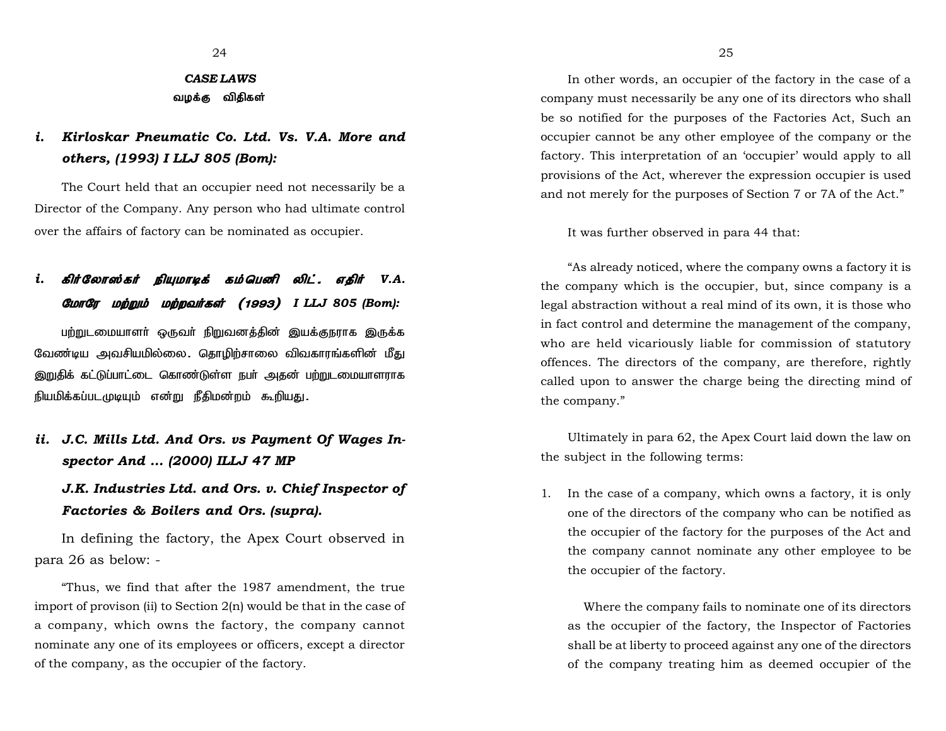# *CASE LAWS*  $24$ <br>**CASE LAWS**<br>வழக்கு விதிகள்

## *i. Kirloskar Pneumatic Co. Ltd. Vs. V.A. More and others, (1993) I LLJ 805 (Bom):*

The Court held that an occupier need not necessarily be a Director of the Company. Any person who had ultimate control over the affairs of factory can be nominated as occupier.

# *i. fph ;Nyh] ;fh ; e pAkhbf ; fk ;ngdp ypl ;. vj ph ; V.A. NkhNu kw ;Wk ; kw ;wth ;fs ; (1993) I LLJ 805 (Bom):*

பற்றுடமையாளர் ஒருவர் நிறுவனத்தின் இயக்குநராக இருக்க வேண்டிய அவசியமில்லை. தொழிற்சாலை விவகாரங்களின் மீது இறுதிக் கட்டுப்பாட்டை கொண்டுள்ள நபர் அதன் பற்றுடமையாளராக நியமிக்கப்படமுடியும் என்று நீதிமன்றம் கூறியது.

# *ii. J.C. Mills Ltd. And Ors. vs Payment Of Wages Inspector And ... (2000) ILLJ 47 MP*

# *J.K. Industries Ltd. and Ors. v. Chief Inspector of Factories & Boilers and Ors. (supra).*

In defining the factory, the Apex Court observed in para 26 as below: -

"Thus, we find that after the 1987 amendment, the true import of provison (ii) to Section 2(n) would be that in the case of a company, which owns the factory, the company cannot nominate any one of its employees or officers, except a director of the company, as the occupier of the factory.

In other words, an occupier of the factory in the case of a company must necessarily be any one of its directors who shall be so notified for the purposes of the Factories Act, Such an occupier cannot be any other employee of the company or the factory. This interpretation of an 'occupier' would apply to all provisions of the Act, wherever the expression occupier is used and not merely for the purposes of Section 7 or 7A of the Act."

It was further observed in para 44 that:

"As already noticed, where the company owns a factory it is the company which is the occupier, but, since company is a legal abstraction without a real mind of its own, it is those who in fact control and determine the management of the company, who are held vicariously liable for commission of statutory offences. The directors of the company, are therefore, rightly called upon to answer the charge being the directing mind of the company."

Ultimately in para 62, the Apex Court laid down the law on the subject in the following terms:

1. In the case of a company, which owns a factory, it is only one of the directors of the company who can be notified as the occupier of the factory for the purposes of the Act and the company cannot nominate any other employee to be the occupier of the factory.

Where the company fails to nominate one of its directors as the occupier of the factory, the Inspector of Factories shall be at liberty to proceed against any one of the directors of the company treating him as deemed occupier of the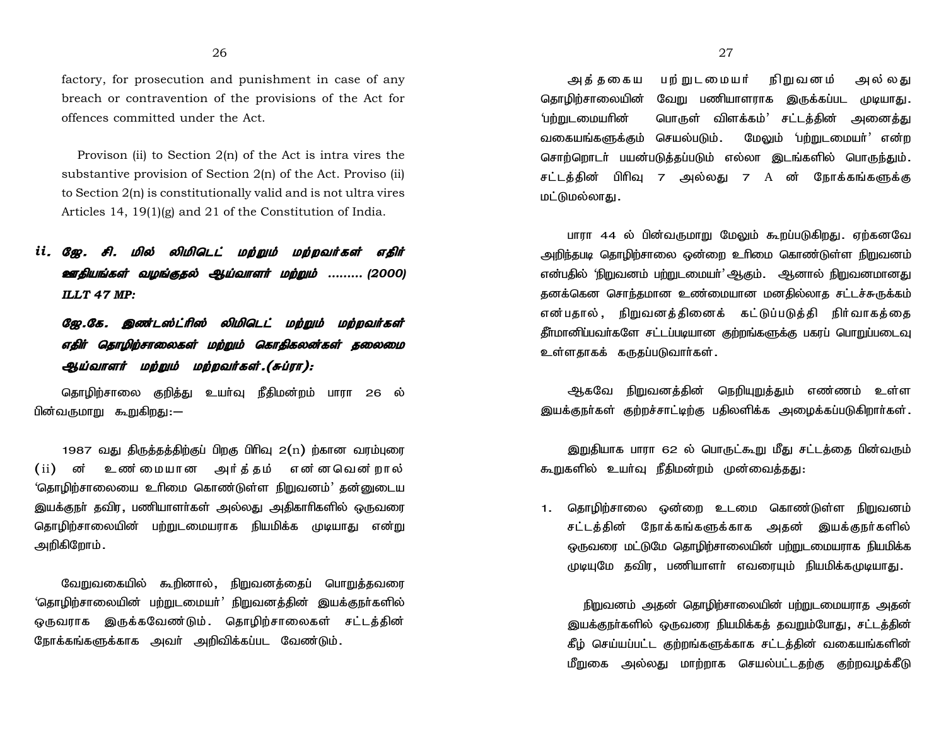factory, for prosecution and punishment in case of any breach or contravention of the provisions of the Act for offences committed under the Act.

Provison (ii) to Section 2(n) of the Act is intra vires the substantive provision of Section 2(n) of the Act. Proviso (ii) to Section 2(n) is constitutionally valid and is not ultra vires Articles 14, 19(1)(g) and 21 of the Constitution of India.

# *ii. N[. rp. kpy ; ypkpnll ; kw ;Wk ; kw ;wth ;fs ; vjph ; Cjpaq ;fs ; toq ;Fjy ; Ma ;thsh ; kw ;Wk ; ……… (2000) ILLT 47 MP:*

*N[.Nf. ,z ;l] ;l ;hp] ; ypkpnll ; kw ;Wk ; kw ;wth ;fs ; vjph ; njhopw ;rhiyfs ; kw ;Wk ; nfhjpfyd ;fs ; jiyik*  $\partial f(x) = \partial f(x)$  *aliant word word is a <i>i s*<sup>*i*</sup> *y*;

தொழிற்சாலை குறித்து உயர்வு நீதிமன்றம் பாரா 26 ல் பின்வருமாறு கூறுகிறது:—

 $1987$  வது திருத்தத்திற்குப் பிறகு பிரிவு  $2(n)$  ற்கான வரம்புரை தொழிற்சாலை குறித்து உயா்வு நீதிமன்றம் பாரா 26 ல்<br>பின்வருமாறு கூறுகிறது:—<br>1987 வது திருத்தத்திற்குப் பிறகு பிரிவு 2(n) ற்கான வரம்புரை<br>(ii) ன உண ்மையான அா்த்தம் என ்னவென்றால்<br>'தொழிற்சாலையை உரிமை கொண்டுள்ள நிறுவனம்' தன்னுடை 'தொழிற்சாலையை உரிமை கொண்டுள்ள நிறுவனம்' தன்னுடைய இயக்குநா் தவிர, பணியாளா்கள் அல்லது அதிகாாிகளில் ஒருவரை 1987 வது திருத்தத்திற்குப் பிறகு பிரிவு 2(n) ற்கான வரம்புரை<br>(ii) ன் உண மையான அா்த்தம் என னவென்றால்<br>'தொழிற்சாலையை உாிமை கொண்டுள்ள நிறுவனம்' தன்னுடைய<br>இயக்குநா் தவிர, பணியாளா்கள் அல்லது அதிகாாிகளில் ஒருவரை<br>தொழிற்சாலையின் பற் அறிகிறோம்.

வேறுவகையில் கூறினால், நிறுவனக்கைப் ப<u>ொறு</u>க்கவரை 'தொழிற்சாலையின் பற்றுடமையர்' நிறுவனத்தின் இயக்குநர்களில் அறிகிறோம் .<br>மேறுவகையில் கூறினால், நிறுவனத்தைப் பொறுத்தவரை<br>'தொழிற்சாலையின் பற்றுடமையா்' நிறுவனத்தின் இயக்குநா்களில்<br>ஒருவராக இருக்கவேண்டும் . தொழிற்சாலைகள் சட்டத்தின்<br>நோக்கங்களுக்காக அவா் அறிவிக்கப்பட வேண்டும் . நோக்கங்களுக்காக அவர் அறிவிக்கப்பட வேண்டும்.

27<br>அத் தகைய பற்றுடமையர் நிறுவனம் அல்லது<br>றிற்சாலையின் வேறு பணியாளராக இருக்கப்பட முடியாது. தொழிற்சாலையின் வேறு பணியாளராக இருக்கப்பட முடியாது. 27<br>அத் தகைய பற்றுடமையர் நிறுவனம் அல்லது<br>தொழிற்சாலையின் வேறு பணியாளராக இருக்கப்பட முடியாது.<br>'பற்றுடமையரின் பொருள் விளக்கம்' சட்டத்தின் அனைத்து<br>வகையங்களுக்கும் செயல்படும். மேலும் 'பற்றுடமையர்' என்ற வகையங்களுக்கும் செயல்படும். மேலும் 'பற்றுடமையர்' என்ற சொற்றொடர் பயன்படுத்தப்படும் எல்லா இடங்களில் பொருந்தும். தொழிற்சாலையின் வேறு பணியாளராக இருக்கப்பட முடியாது.<br>'பற்றுடமையரின் பொருள் விளக்கம்' சட்டத்தின் அனைத்து<br>வகையங்களுக்கும் செயல்படும். மேலும் 'பற்றுடமையர்' என்ற<br>சொற்றொடர் பயன்படுத்தப்படும் எல்லா இடங்களில் பொருந்தும்.<br>சட்டத்த 'பற்றுடமையரின் பொருள்<br>வகையங்களுக்கும் செயல்ப<br>சொற்றொடர் பயன்படுத்தப்ப(<br>சட்டத்தின் பிரிவு 7 அ $\epsilon$ <br>மட்டுமல்லாது

பாரா 44 ல் பின்வருமாறு மேலும் கூறப்படுகிறது. ஏற்கனவே அறிந்தபடி தொழிற்சாலை ஒன்றை உரிமை கொண்டுள்ள நிறுவனம் என்பதில் 'நிறுவனம் பற்றுடமையர்' ஆகும். ஆனால் நிறுவனமானது தனக்கென சொந்தமான உண்மையான மனதில்லாத சட்டச்சுருக்கம் பாரா 44 ல் பின்வருமாறு மேலும் கூறப்படுகிறது. ஏற்கனவே<br>அறிந்தபடி தொழிற்சாலை ஒன்றை உரிமை கொண்டுள்ள நிறுவனம்<br>என்பதில் 'நிறுவனம் பற்றுடமையா்' ஆகும். ஆனால் நிறுவனமானது<br>தனக்கென சொந்தமான உண்மையான மனதில்லாத சட்டச்சுருக்கம்<br>என்பதா தீர்மானிப்பவர்களே சட்டப்படியான குற்றங்களுக்கு பகரப் பொறுப்படைவு உள்ளதாகக் கருதப்படுவார்கள். பதால் , நிறுவனத்தினைக் கட்டுப்படுத்தி நிர்வாகத்தை<br>னிப்பவர்களே சட்டப்படியான குற்றங்களுக்கு பகரப் பொறுப்படைவு<br>ளதாகக் கருதப்படுவார்கள்<br>ஆகவே நிறுவனத்தின் நெறியுறுத்தும் எண்ணம் உள்ள<br>குநர்கள் குற்றச்சாட்டிற்கு பதிலளிக்க அழைக்கப தீா்மானிப்பவா்களே சட்டப்படியான குற்றங்களுக்கு பகரப் பொறுப்படைவு<br>உள்ளதாகக் கருதப்படுவாா்கள்<br>ஆகவே நிறுவனத்தின் நெறியுறுத்தும் எண்ணம் உள்ள<br>இயக்குநா்கள் குற்றச்சாட்டிற்கு பதிலளிக்க அழைக்கப்படுகிறாா்கள்

இறுதியாக பாரா 62 ல் பொருட்கூறு மீது சட்டத்தை பின்வரும் கூறுகளில் உயர்வு நீதிமன்றம் முன்வைத்தது:

1. தொழிற்சாலை ஒன்றை உடமை கொண்டுள்ள நிறுவனம் இறுதியாக பாரா 62 ல் பொருட்கூறு மீது சட்டத்தை பின்வரும்<br>களில் உயர்வு நீதிமன்றம் முன்வைத்தது:<br>தொழிற்சாலை ஒன்றை உடமை கொண்டுள்ள நிறுவனம்<br>சட்டத்தின் நோக்கங்களுக்காக அதன் இயக்குநர்களில்<br>ஒருவரை மட்டுமே தொழிற்சாலையின் பற்றுடமை ஒருவரை மட்டுமே தொழிற்சாலையின் பற்றுடமையராக நியமிக்க முடியமே கவிா, பணியாளர் எவரையம் நியமிக்கமுடியாகு.

நிறுவனம் அதன் கொழிற்சாலையின் பற்றுடமையராக அதன் இயக்குநா்களில் ஒருவரை நியமிக்கத் தவறும்போது, சட்டத்தின் முடியுமே தவிர, பணியாளா் எவரையும் நியமிக்கமுடியாது.<br>நிறுவனம் அதன் தொழிற்சாலையின் பற்றுடமையராத அதன்<br>இயக்குநா்களில் ஒருவரை நியமிக்கத் தவறும்போது, சட்டத்தின்<br>கீழ் செய்யப்பட்ட குற்றங்களுக்காக சட்டத்தின் வகையங்களின்<br>மீறுகை அல்ல மீறுகை அல்லது மாற்றாக செயல்பட்டதற்கு குற்றவழக்கீடு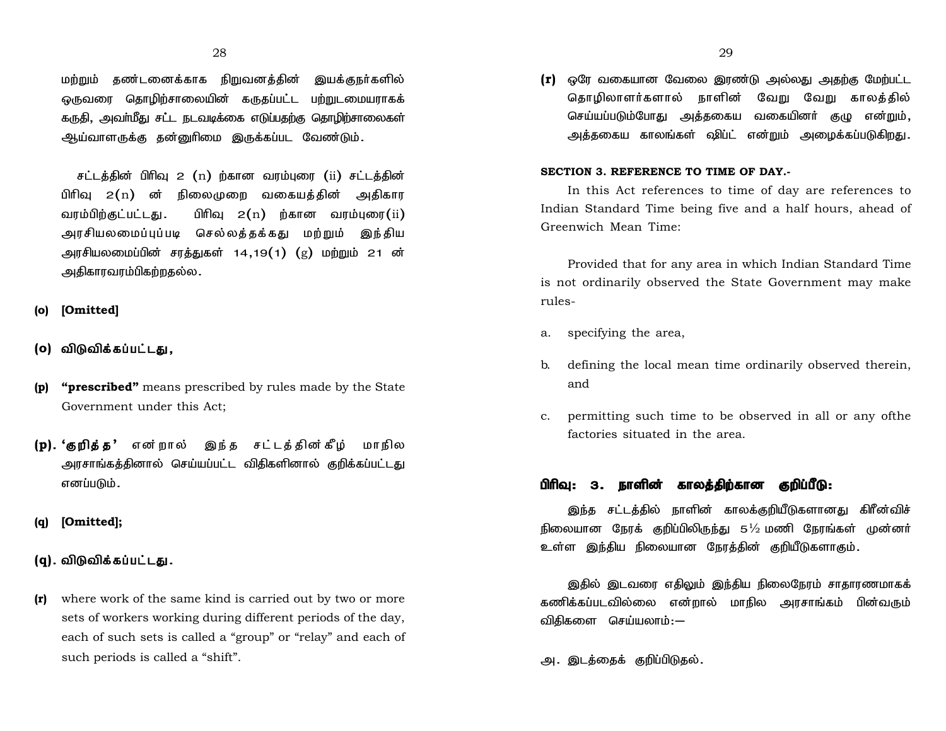$^{28}$ <br>மற்றும் தண்டனைக்காக நிறுவனத்தின் இயக்குநா்களில்<br>ஒருவரை தொழிற்சாலையின் கருதப்பட்ட பற்றுடமையராகக் ் 28<br>மற்றும் தண்டனைக்காக நிறுவனத்தின் இயக்குநா்களில்<br>ஒருவரை தொழிற்சாலையின் கருதப்பட்ட பற்றுடமையராகக்<br>கருதி, அவா்மீது சட்ட நடவடிக்கை எடுப்பதற்கு தொழிற்சாலைகள் ஆய்வாளருக்கு தன்னுரிமை இருக்கப்பட வேண்டும்.

 $F$ ட்டத்தின் பிரிவு 2 (n) ற்கான வரம்புரை (ii) சட்டத்தின் கருதி, அவா்மீது சட்ட நடவடிக்கை எடுப்பதற்கு தொழிற்சாலைகள்<br>ஆய்வாளருக்கு தன்னுரிமை இருக்கப்பட வேண்டும்.<br>சட்டத்தின் பிரிவு 2 (n) ற்கான வரம்புரை (ii) சட்டத்தின்<br>பிரிவு 2(n) ன் நிலைமுறை வகையத்தின் அதிகார<br>வரம்பிற்குட்பட்டது ஆய்வாளருக்கு தன்னுரிமை இருக்கப்பட வேண்டும்.<br>சட்டத்தின் பிரிவு 2 (n) ற்கான வரம்புரை (ii) சட்டத்தின்<br>பிரிவு 2(n) ன் நிலைமுறை வகையத்தின் அதிகார<br>வரம்பிற்குட்பட்டது. பிரிவு 2(n) ற்கான வரம்புரை(ii)<br>அரசியலமைப்புப்படி செல்லத்தக் சட்டத்தின் பிரிவு 2 (n) ற்கான வரம்புரை (ii) சட்டத்தின்<br>பிரிவு 2(n) ன் நிலைமுறை வகையத்தின் அதிகார<br>வரம்பிற்குட்பட்டது. பிரிவு 2(n) ற்கான வரம்புரை(ii)<br>அரசியலமைப்புப்படி செல்லத்தக்கது மற்றும் இந்திய<br>அரசியலமைப்பின் சரத்துகள் அரசியலமைப்பின் சரத்துகள் 14,19 $(1)$   $(g)$  மற்றும் 21 ன் பிரிவு 2(n) ன் நிலைமுறை வ<br>வரம்பிற்குட்பட்டது. பிரிவு 2(n)<br>அரசியலமைப்புப்படி செல்லத்தக்<br>அரசியலமைப்பின் சரத்துகள் 14,19<br>அதிகாரவரம்பிகற்றதல்ல. அதிகாரவரம்பிகற்றதல்ல .<br>**(o) [Omitted]**<br>**(o) விடுவிக்கப்பட்டது ,** 

**(o) [Omitted]**

- **(p) "prescribed"** means prescribed by rules made by the State Government under this Act;
- (p). 'குறித்த' என்றால் இந்த சட்டத்தின்கீழ் மாநில அரசாங்கத்தினால் செய்யப்பட்ட விதிகளினால் குறிக்கப்பட்டது எனப்படும். எனப்படும்.<br>**(q) [Omitted];**<br>**(q). விடுவிக்கப்பட்டது**.
- **(q) [Omitted];**

**(r)** where work of the same kind is carried out by two or more sets of workers working during different periods of the day, each of such sets is called a "group" or "relay" and each of such periods is called a "shift".

### **SECTION 3. REFERENCE TO TIME OF DAY.-**

In this Act references to time of day are references to Indian Standard Time being five and a half hours, ahead of Greenwich Mean Time:

Provided that for any area in which Indian Standard Time is not ordinarily observed the State Government may make rules-

- a. specifying the area,
- b. defining the local mean time ordinarily observed therein, and
- c. permitting such time to be observed in all or any ofthe factories situated in the area. c. permitting such time to be observed in all or any ofthe<br>factories situated in the area.<br>**பிரிவு: 3. நாளின் காலத்திற்கான குறிப்பீடு:**<br>இந்த சட்டத்தில் நாளின் காலக்குறியீடுகளானது கிரீன்விச்

factories situated in the area.<br>**!: 3. நாளின் காலத்திற்கான குறிப்பீடு:**<br>இந்த சட்டத்தில் நாளின் காலக்குறியீடுகளானது கிரீன்விச்<br>லயான நேரக் குறிப்பிலிருந்து 5½ மணி நேரங்கள் முன்னர் நிலையான நேரக் குறிப்பிலிருந்து 5½ மணி நேரங்கள் முன்னர் உள்ள இந்திய நிலையான நேரத்தின் குறியீடுகளாகும்.

இதில் இடவரை எதிலும் இந்திய நிலைநேரம் சாதாரணமாகக் நிலையான நேரக் குறிப்பிலிருந்து 5½ மணி நேரங்கள் முன்னா்<br>உள்ள இந்திய நிலையான நேரத்தின் குறியீடுகளாகும்.<br>இதில் இடவரை எதிலும் இந்திய நிலைநேரம் சாதாரணமாகக்<br>கணிக்கப்படவில்லை என்றால் மாநில அரசாங்கம் பின்வரும்<br>விதிகளை செய்யலாம்:— விதிகளை செய்யலாம்:—

.அ. இடத்தைக் குறிப்பிடுதல்.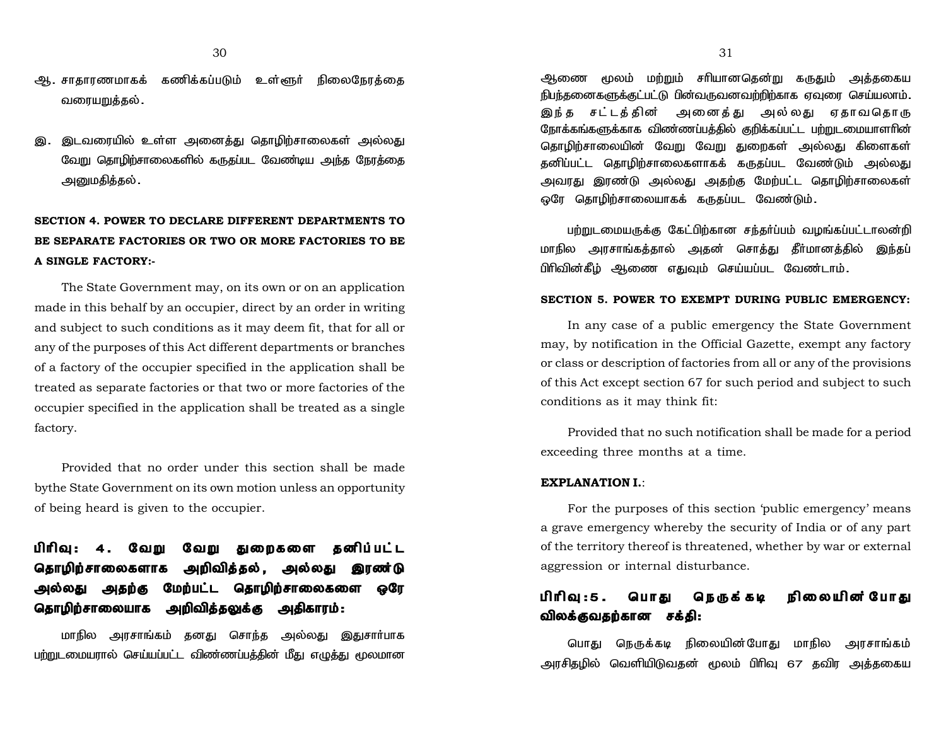- 30<br>ஆ. சாதாரணமாகக் கணிக்கப்படும் உள்ளூர் நிலைநேரத்தை<br>வரையறுத்தல் 30<br>ஆ. சாதாரணமாகக் கணிக்கப்படும் உள்ளூர் நிலைநேரத்தை<br>வரையறுக்கல்.
- இ. இடவரையில் உள்ள அனைத்து தொழிற்சாலைகள் அல்லது வேறு தொழிற்சாலைகளில் கருதப்பட வேண்டிய அந்த நேரத்தை அனுமதித்தல்.

### **SECTION 4. POWER TO DECLARE DIFFERENT DEPARTMENTS TO BE SEPARATE FACTORIES OR TWO OR MORE FACTORIES TO BE A SINGLE FACTORY:-**

The State Government may, on its own or on an application made in this behalf by an occupier, direct by an order in writing and subject to such conditions as it may deem fit, that for all or any of the purposes of this Act different departments or branches of a factory of the occupier specified in the application shall be treated as separate factories or that two or more factories of the occupier specified in the application shall be treated as a single factory.

Provided that no order under this section shall be made bythe State Government on its own motion unless an opportunity of being heard is given to the occupier. Provided that no order under this section shall be made<br>bythe State Government on its own motion unless an opportunity<br>of being heard is given to the occupier.<br>**பிரிவு: 4. வேறு வேறு துறைகளை தனிப்பட்ட**<br>**தொழிற்சாலைகளாக அறிவ** 

# bythe State Government on its own motion unless an opportunity<br>of being heard is given to the occupier.<br>**பிரிவு : 4 . வேறு வேறு துறைகளை தனிப் பட் ட<br>தொழிற்சாலைகளாக அறிவித்தல் , அல்லது இரண்டு<br>அல்** of being heard is given to the occupier.<br>பிரிவு **: 4 . வேறு வேறு துறைகளை தனிப்பட்ட**<br>**தொழிற்சாலைகளாக அறிவித்தல், அல்லது இரண்டு**<br>அல்லது அதற்கு மேற்பட்ட தொழிற்சாலைகளை ஒரே<br>தொழிற்சாலையாக அறிவித்தலுக்கு அதிகாரம் : பிரிவு : 4 . வேறு வேறு துறைகளை தனிப்பட்ட<br>தொழிற்சாலைகளாக அறிவித்தல், அல்லது இரண**்டு**<br>அல்லது அதற்கு மேற்பட்ட தொழிற்சாலைகளை ஒரே<br>தொழிற்சாலையாக அறிவித்தலுக்கு அதிகாரம் :<br>புமாஙில அரசாங்கம் கனகு சொந்த அல்லது இதுசார்பாக

மாநில அரசாங்கம் தனது சொந்த அல்லது இதுசார்பாக பற்றுடமையாால் செய்யப்பட்ட விண்ணப்பக்கின் மீது எழுக்து மூலமான

31<br>ஆணை மூலம் மற்றும் சரியானதென்று கருதும் அத்தகைய<br>நிபந்தனைகளுக்குட்பட்டு பின்வருவனவற்றிற்காக ஏவுரை செய்யலாம். நிபந்தனைகளுக்குட்பட்டு பின்வருவனவற்றிற்காக ஏவுரை செய்யலாம். 31<br>ஆணை மூலம் மற்றும் சரியானதென்று கருதும் அத்தகைய<br>நிபந்தனைகளுக்குட்பட்டு பின்வருவனவற்றிற்காக ஏவுரை செய்யலாம்.<br>இந்த சட்டத்தின் அனைத்து அல்லது ஏதாவதொரு<br>நோக்கங்களுக்காக விண்ணப்பத்தில் குறிக்கப்பட்ட பற்றுடமையாளரின் நோக்கங்களுக்காக விண்ணப்பத்தில் குறிக்கப்பட்ட பற்றுடமையாளரின் தொழிற்சாலையின் வேறு வேறு துறைகள் அல்லது கிளைகள் தனிப்பட்ட தொழிற்சாலைகளாகக் கருதப்பட வேண்டும் அல்லது அவரது இரண்டு அல்லது அதற்கு மேற்பட்ட தொழிற்சாலைகள் ஒரே தொழிற்சாலையாகக் கருதப்பட வேண்டும்.

பற்றுடமையருக்கு கேட்பிற்கான சந்தர்ப்பம் வழங்கப்பட்டாலன்றி மாநில அரசாங்கத்தால் அதன் சொத்து தீர்மானத்தில் இந்தப் பிரிவின்கீழ் ஆணை எதுவும் செய்யப்பட வேண்டாம்.

### **SECTION 5. POWER TO EXEMPT DURING PUBLIC EMERGENCY:**

In any case of a public emergency the State Government may, by notification in the Official Gazette, exempt any factory or class or description of factories from all or any of the provisions of this Act except section 67 for such period and subject to such conditions as it may think fit:

Provided that no such notification shall be made for a period exceeding three months at a time.

### **EXPLANATION I.**:

For the purposes of this section 'public emergency' means a grave emergency whereby the security of India or of any part of the territory thereof is threatened, whether by war or external aggression or internal disturbance. For the purposes of this section public emergency means<br>a grave emergency whereby the security of India or of any part<br>of the territory thereof is threatened, whether by war or external<br>aggression or internal disturbance. a grave emergency whereby the security of Ir<br>of the territory thereof is threatened, whether<br>aggression or internal disturbance.<br>**பிரிவு : 5 . பொது நெருக்கி:**<br>விலக்குவதற்கான சக்தி:<br>பொது நெருக்குடி நிலையின்போது மு

ession or internal disturbance.<br>**வு : 5 . பொது நெருக்கடி நிலையின்போது<br><b>க்குவதற்கான சக்தி:**<br>பொது நெருக்கடி நிலையின்போது மாநில அரசாங்கம்<br>]தழில் வெளியிடுவதன் மூலம் பிரிவு 67 தவிர அத்தகைய அரசிதழில் வெளியிடுவதன் மூலம் பிரிவு 67 தவிர அத்தகைய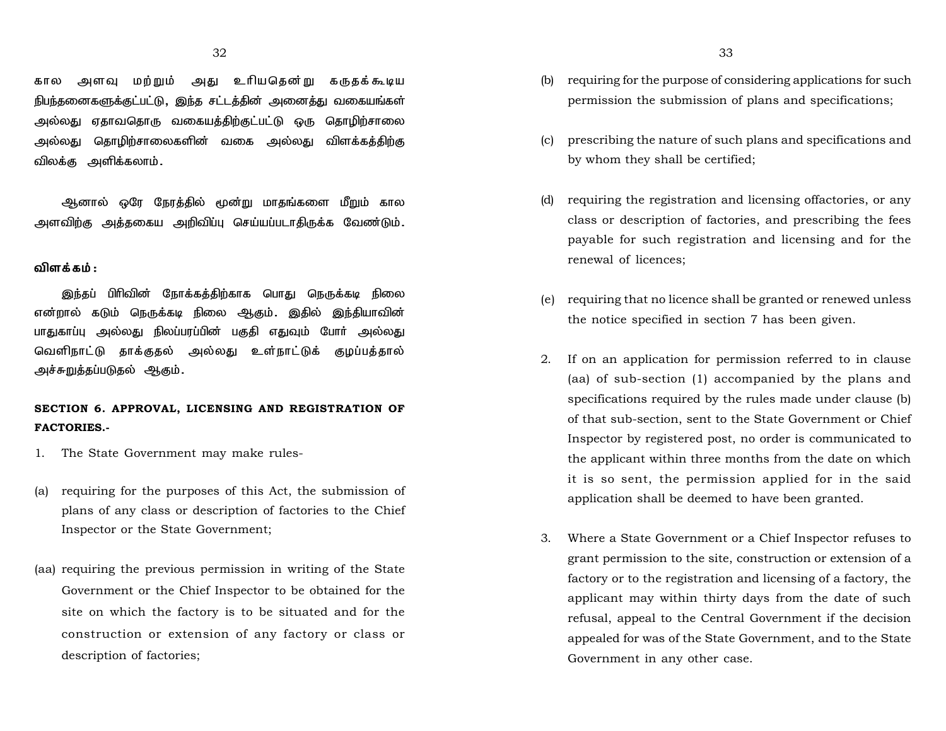32<br>கால அளவு மற்றும் அது உரியதென்று கருதக்கூடிய<br>நிபந்தனைகளுக்குட்பட்டு, இந்த சட்டத்தின் அனைத்து வகையங்கள் நிபந்தனைகளுக்குட்பட்டு, இந்த சட்டத்தின் அனைத்து வகையங்கள் அல்லது ஏதாவதொரு வகையத்திற்குட்பட்டு ஒரு தொழிற்சாலை அல்லது தொழிற்சாலைகளின் வகை அல்லது விளக்கக்கிற்கு விலக்கு அளிக்கலாம்.

ஆனால் ஒரே நோக்கில் மூன்று மாகங்களை மீறும் கால அளவிற்கு அத்தகைய அறிவிப்பு செய்யப்படாதிருக்க வேண்டும். ஆனால் ஒரே நேரத்தில்<br>அளவிற்கு அத்தகைய அறி<br>**விளக்கம் :**<br>இர்கம் :

இந்தப் பிரிவின் நோக்கக்கிற்காக பொது நெருக்கடி நிலை என்றால் கடும் நெருக்கடி நிலை ஆகும். இதில் இந்தியாவின் பாதுகாப்பு அல்லது நிலப்பரப்பின் பகுதி எதுவும் போர் அல்லது வாளக்கம் :<br>இந்தப் பிரிவின் நோக்கத்திற்காக பொது நெருக்கடி நிலை<br>என்றால் கடும் நெருக்கடி நிலை ஆகும். இதில் இந்தியாவின்<br>பாதுகாப்பு அல்லது நிலப்பரப்பின் பகுதி எதுவும் போர் அல்லது<br>வெளிநாட்டு தாக்குதல் அல்லது உள்நாட்டுக் குழப்பத இந்தப் பிரிவின் நோக்கத்தி<br>என்றால் கடும் நெருக்கடி நிலை<br>பாதுகாப்பு அல்லது நிலப்பரப்பின்<br>வெளிநாட்டு தாக்குதல் அல் $\epsilon$ 

### **SECTION 6. APPROVAL, LICENSING AND REGISTRATION OF FACTORIES.-**

- 1. The State Government may make rules-
- (a) requiring for the purposes of this Act, the submission of plans of any class or description of factories to the Chief Inspector or the State Government;
- (aa) requiring the previous permission in writing of the State Government or the Chief Inspector to be obtained for the site on which the factory is to be situated and for the construction or extension of any factory or class or description of factories;
- (b) requiring for the purpose of considering applications for such permission the submission of plans and specifications;
- (c) prescribing the nature of such plans and specifications and by whom they shall be certified;
- (d) requiring the registration and licensing offactories, or any class or description of factories, and prescribing the fees payable for such registration and licensing and for the renewal of licences;
- (e) requiring that no licence shall be granted or renewed unless the notice specified in section 7 has been given.
- 2. If on an application for permission referred to in clause (aa) of sub-section (1) accompanied by the plans and specifications required by the rules made under clause (b) of that sub-section, sent to the State Government or Chief Inspector by registered post, no order is communicated to the applicant within three months from the date on which it is so sent, the permission applied for in the said application shall be deemed to have been granted.
- 3. Where a State Government or a Chief Inspector refuses to grant permission to the site, construction or extension of a factory or to the registration and licensing of a factory, the applicant may within thirty days from the date of such refusal, appeal to the Central Government if the decision appealed for was of the State Government, and to the State Government in any other case.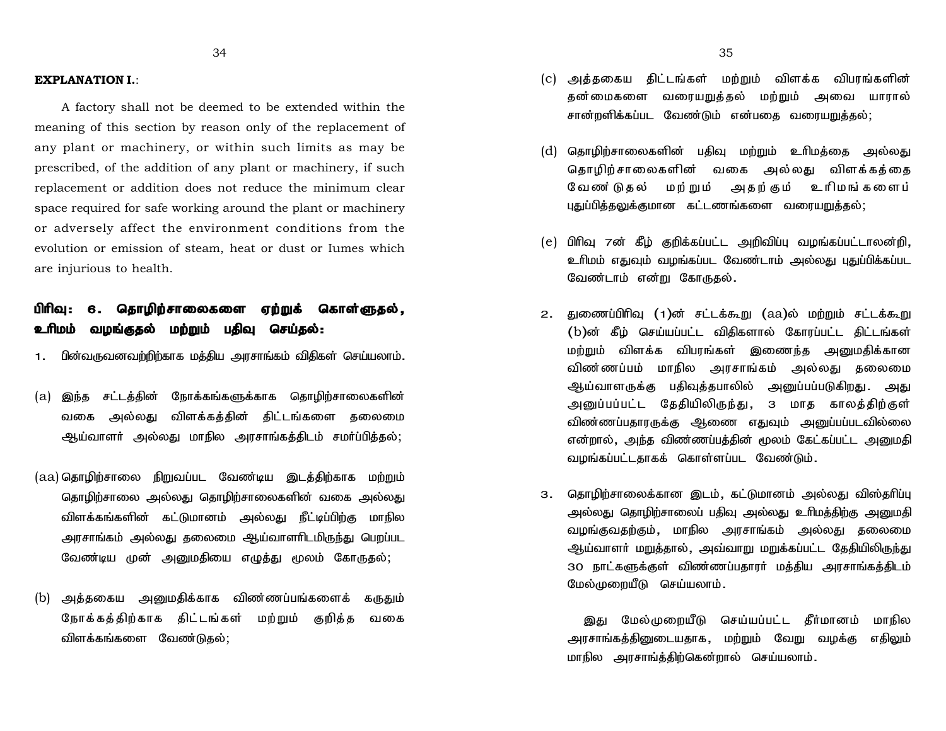### **EXPLANATION I.**:

A factory shall not be deemed to be extended within the meaning of this section by reason only of the replacement of any plant or machinery, or within such limits as may be prescribed, of the addition of any plant or machinery, if such replacement or addition does not reduce the minimum clear space required for safe working around the plant or machinery or adversely affect the environment conditions from the evolution or emission of steam, heat or dust or Iumes which are injurious to health. or adversely affect the environment conditions from the<br>evolution or emission of steam, heat or dust or lumes which<br>are injurious to health.<br>**பிரிவு: 6. தொழிற்சாலைகளை ஏற்றுக் கொள்ளுதல்,**<br>உரிமம் வழங்குதல் மற்றும் பதிவு செய evolution or emission of steam, heat or dust or Iumes which<br>are injurious to health.<br>**பிரிவு : 6. தொழிற்சாலைகளை ஏற்றுக் கொள்ளுதல்,<br>உரிமம் வழங்குதல் மற்றும் பதிவு <b>செய்தல்:**<br>1. பின்வருவனவற்றிற்காக மக்கிய அரசாங்கம் விகிகள்

- 1. பின்வருவனவற்றிற்காக மத்திய அரசாங்கம் விதிகள் செய்யலாம்.
- (a) இந்த சட்டத்தின் நோக்கங்களுக்காக தொழிற்சாலைகளின் tif my ;yJ tpsf ;fj ;jpd ; jpl ;lq ;fis jiyik ஆய்வாளர் அல்லது மாநில அரசாங்கக்கிடம் சமர்ப்பிக்கல்;
- $(aa)$  தொழிற்சாலை நிறுவப்பட வேண்டிய இடக்கிற்காக மற்றும் தொழிற்சாலை அல்லது தொழிற்சாலைகளின் வகை அல்லது விளக்கங்களின் கட்டுமானம் அல்லது நீட்டிப்பிற்கு மாநில அரசாங்கம் அல்லது தலைமை ஆய்வாளரிடமிருந்து பெறப்பட வேண்டிய முன் அனுமதியை எழுத்து மூலம் கோருதல்; விளககஙகளின கடடுமானம அலலது நடடிபப்றகு மாநில<br>அரசாங்கம் அல்லது தலைமை ஆய்வாளரிடமிருந்து பெறப்பட<br>வேண்டிய முன் அனுமதியை எழுத்து மூலம் கோருதல்;<br>(b) அத்தகைய அனுமதிக்காக விண்ணப்பங்களைக் கருதும்<br>நோக்கத்திற்காக திட்டங்கள் மற்றும் கு
- அரசாஙகம அலலது தலைமை ஆயவாளாடமிருநது பெறப்பட<br>வேண்டிய முன் அனுமதியை எழுத்து மூலம் கோருதல்;<br>அத்தகைய அனுமதிக்காக விண ணப்பங்களைக் கருதும்<br>நோக்கத்திற்காக திட்டங்கள் மற்றும் குறித்த வகை<br>விளக்கங்களை வேண்டுதல்; விளக்கங்களை வேண்டுகல்;
- 75<br>(c) அத்தகைய திட்டங்கள் மற்றும் விளக்க விபரங்களின்<br>தன்மைகளை வரையறுத்தல் மற்றும் அவை யாரால் 35<br>அத்தகைய திட்டங்கள் மற்றும் விளக்க விபரங்களின்<br>தன்மைகளை வரையறுத்தல் மற்றும் அவை யாரால்<br>சான்றளிக்கப்பட வேண்டும் என்பதை வரையறுத்தல்; சான்றளிக்கப்பட வேண்டும் என்பதை வரையறுத்தல்; (c) அத்தகைய திட்டங்கள் மற்றும் விளக்க விபரங்களின்<br>தன்மைகளை வரையறுத்தல் மற்றும் அவை யாரால்<br>சான்றளிக்கப்பட வேண்டும் என்பதை வரையறுத்தல்;<br>(d) தொழிற்சாலைகளின் பதிவு மற்றும் உரிமத்தை அல்லது<br>தொழிற்சாலைகளின் வகை அல்லது விளக்கத்தை
- தன்மைகளை வரையறுத்தல் மற்றும் அவை யாரால்<br>சான்றளிக்கப்பட வேண்டும் என்பதை வரையறுத்தல்;<br>தொழிற்சாலைகளின் பதிவு மற்றும் உரிமத்தை அல்லது<br>தொழிற்சாலைகளின் வகை அல்லது விளக்கத்தை<br>வேண்டுதல் மற்றும் அதற்கும் உரிமங்களைப் சான்றளிக்கப்பட வேண்டும் என்பதை வரையறுத்தல்;<br>தொழிற்சாலைகளின் பதிவு மற்றும் உரிமத்தை அல்லது<br>தொழிற்சாலைகளின் வகை அல்லது விளக்கத்தை<br>வேண்டுதல் மற்றும் அதற்கும் உரிமங்களைப்<br>புதுப்பித்தலுக்குமான கட்டணங்களை வரையறுத்தல்; புதுப்பித்தலுக்குமான கட்டணங்களை வரையறுத்தல்;
- $(e)$  பிரிவு  $7$ ன் கீழ் குறிக்கப்பட்ட அறிவிப்பு வழங்கப்பட்டாலன்றி, உரிமம் எதுவும் வழங்கப்பட வேண்டாம் அல்லது புதுப்பிக்கப்பட வேண்டாம் என்று கோருதல்.
- 2. துணைப்பிரிவு (1)ன் சட்டக்கூறு (aa)ல் மற்றும் சட்டக்கூறு (b)ன் கீழ் செய்யப்பட்ட விதிகளால் கோரப்பட்ட திட்டங்கள் வேண்டாம் என்று கோருதல்<br>துணைப்பிரிவு (1)ன் சட்டக்கூறு (aa)ல் மற்றும் சட்டக்கூறு<br>(b)ன் கீழ் செய்யப்பட்ட விதிகளால் கோரப்பட்ட திட்டங்கள்<br>மற்றும் விளக்க விபரங்கள் இணைந்த அனுமதிக்கான<br>விண ணப்பம் மாநில அரசாங்கம் அல்லது தலைமை துணைப்பிரிவு (1)ன் சட்டக்கூறு (aa)ல் மற்றும் சட்டக்கூறு<br>(b)ன் கீழ் செய்யப்பட்ட விதிகளால் கோரப்பட்ட திட்டங்கள்<br>மற்றும் விளக்க விபரங்கள் இணைந்த அனுமதிக்கான<br>விண ணப்பம் மாநில அரசாங்கம் அல்லது தலைமை<br>ஆய்வாளருக்கு பதிவுத்தபாலில் துணைப்பிரிவு (1)ன் சட்டக்கூறு (aa)ல் மற்றும் சட்டக்கூறு<br>(b)ன் கீழ் செய்யப்பட்ட விதிகளால் கோரப்பட்ட திட்டங்கள்<br>மற்றும் விளக்க விபரங்கள் இணைந்த அனுமதிக்கான<br>விண்ணப்பம் மாநில அரசாங்கம் அல்லது தலைமை<br>ஆய்வாளருக்கு பதிவுத்தபாலில் (b)ன் கீழ் செய்யப்பட்ட விதிகளால் கோரப்பட்ட திட்டங்கள்<br>மற்றும் விளக்க விபரங்கள் இணைந்த அனுமதிக்கான<br>விண ணப்பம் மாநில அரசாங்கம் அல்லது தலைமை<br>ஆய்வாளருக்கு பதிவுத்தபாலில் அனுப்பப்படுகிறது. அது<br>அனுப்பப்பட்ட தேதியிலிருந்து, 3 மா விண்ணப்பதாரருக்கு ஆணை எதுவும் அனுப்பப்படவில்லை என்றால், அந்த விண்ணப்பத்தின் மூலம் கேட்கப்பட்ட அமைகி வழங்கப்பட்டதாகக் கொள்ளப்பட வேண்டும்.
- 3. தொழிற்சாலைக்கான இடம், கட்டுமானம் அல்லது விஸ்தாிப்பு அல்லது தொழிற்சாலைப் பதிவு அல்லது உரிமத்திற்கு அனுமதி வழங்குவதற்கும், மாநில அரசாங்கம் அல்லது தலைமை ஆய்வாளர் மறுத்தால், அவ்வாறு மறுக்கப்பட்ட தேதியிலிருந்து மேல்முறையீடு செய்யலாம். ய்வாளா் மறுத்தால், அவ்வாறு மறுக்கப்பட்ட தேதியிலிருந்து<br>நாட்களுக்குள் விண்ணப்பதாரா் மத்திய அரசாங்கத்திடம்<br>ல்முறையீடு செய்யலாம்.<br>இது மேல்முறையீடு செய்யப்பட்ட தீா்மானம் மாநில<br>ரசாங்கத்தினுடையதாக, மற்றும் வேறு வழக்கு எதிலும்

30 நாட்களுக்குள் விண்ணப்பதாரா் மத்திய அரசாங்கத்திடம்<br>மேல்முறையீடு செய்யலாம்<br>இது மேல்முறையீடு செய்யப்பட்ட தீா்மானம் மாநில<br>அரசாங்கத்தினுடையதாக, மற்றும் வேறு வழக்கு எதிலும்<br>மாநில அரசாங்த்திற்கென்றால் செய்யலாம். மாநில அரசாங்க்கிற்கென்றால் செய்யலாம்.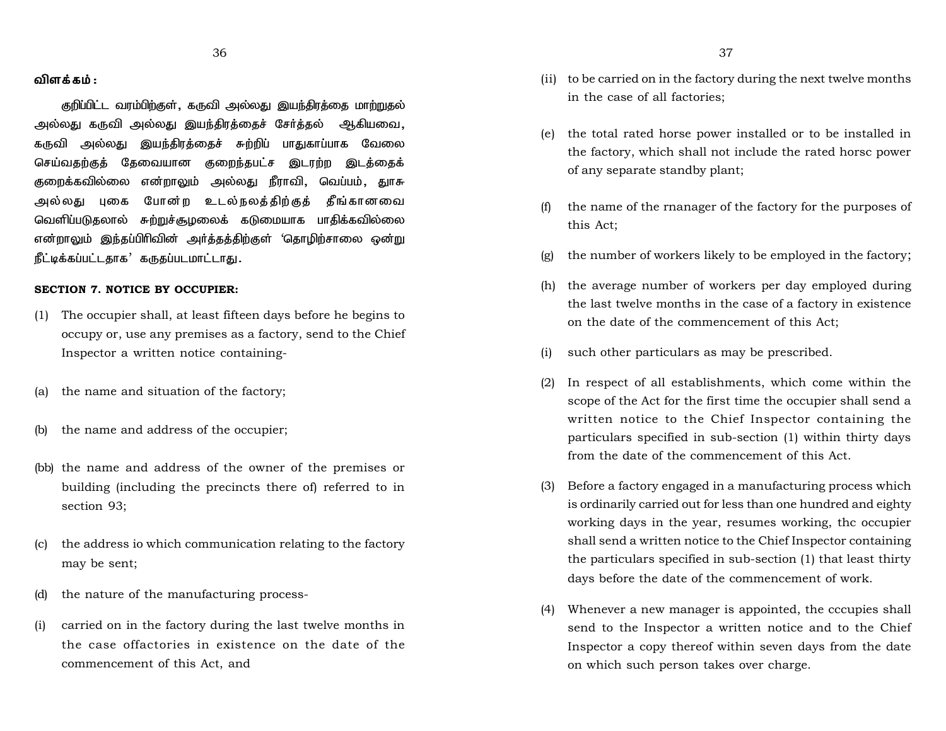**விளக்கம் :**<br>விளக்கம் :<br>சு<sup>திப்டு</sup>: டவாம்<sup>டுந்த</sup>ன் குழ குறிப்பிட்ட வரம்பிற்குள், கருவி அல்லது இயந்திரத்தை மாற்றுதல் 36<br>**விளக்கம் :**<br>குறிப்பிட்ட வரம்பிற்குள், கருவி அல்லது இயந்திரத்தை மாற்றுதல்<br>அல்லது கருவி அல்லது இயந்திரத்தைச் சுற்றிப் பாதுகாப்பாக வேலை<br>கருவி அல்லது இயந்திரத்தைச் சுற்றிப் பாதுகாப்பாக வேலை **விளக்கம் :**<br>குறிப்பிட்ட வரம்பிற்குள், கருவி அல்லது இயந்திரத்தை மாற்றுதல்<br>அல்லது கருவி அல்லது இயந்திரத்தைச் சேர்த்தல் ஆகியவை,<br>கருவி அல்லது இயந்திரத்தைச் சுற்றிப் பாதுகாப்பாக வேலை<br>செய்வதற்குத் தேவையான குறைந்தபட்ச **வாளக்கம் :**<br>குறிப்பிட்ட வரம்பிற்குள், கருவி அல்லது இயந்திரத்தை மாற்றுதல்<br>அல்லது கருவி அல்லது இயந்திரத்தைச் சுற்றிப் பாதுகாப்பாக வேலை<br>செய்வதற்குத் தேவையான குறைந்தபட்ச இடரற்ற இடத்தைக்<br>குறைக்கவில்லை என்றாலும் அல்லது நீராவி, குறைக்கவில்லை என்றாலும் அல்லது நீராவி, வெப்பம், துாசு அல்லது கருவி அல்லது இயந்திரத்தைச் சேர்த்தல் ஆகியவை,<br>கருவி அல்லது இயந்திரத்தைச் சுற்றிப் பாதுகாப்பாக வேலை<br>செய்வதற்குத் தேவையான குறைந்தபட்ச இடரற்ற இடத்தைக்<br>குறைக்கவில்லை என்றாலும் அல்லது நீராவி, வெப்பம், தூசு கருவி அல்லது இயந்திரத்தைச் சுற்றிப் பாதுகாப்பாக வேலை<br>செய்வதற்குத் தேவையான குறைந்தபட்ச இடரற்ற இடத்தைக்<br>குறைக்கவில்லை என்றாலும் அல்லது நீராவி, வெப்பம், தூசு<br>அல்லது புகை போன்ற உடல்நலத்திற்குத் தீங்கானவை<br>வெளிப்படுதலால் சுற்று என்றாலும் இந்தப்பிரிவின் அர்த்தத்திற்குள் 'தொழிற்சாலை ஒன்று நீட்டிக்கப்பட்டதாக' கருதப்படமாட்டாது.

### **SECTION 7. NOTICE BY OCCUPIER:**

- (1) The occupier shall, at least fifteen days before he begins to occupy or, use any premises as a factory, send to the Chief Inspector a written notice containing-
- (a) the name and situation of the factory;
- (b) the name and address of the occupier;
- (bb) the name and address of the owner of the premises or building (including the precincts there of) referred to in section 93;
- (c) the address io which communication relating to the factory may be sent;
- (d) the nature of the manufacturing process-
- (i) carried on in the factory during the last twelve months in the case offactories in existence on the date of the commencement of this Act, and
- (ii) to be carried on in the factory during the next twelve months in the case of all factories;
- (e) the total rated horse power installed or to be installed in the factory, which shall not include the rated horsc power of any separate standby plant;
- (f) the name of the rnanager of the factory for the purposes of this Act;
- (g) the number of workers likely to be employed in the factory;
- (h) the average number of workers per day employed during the last twelve months in the case of a factory in existence on the date of the commencement of this Act;
- (i) such other particulars as may be prescribed.
- (2) In respect of all establishments, which come within the scope of the Act for the first time the occupier shall send a written notice to the Chief Inspector containing the particulars specified in sub-section (1) within thirty days from the date of the commencement of this Act.
- (3) Before a factory engaged in a manufacturing process which is ordinarily carried out for less than one hundred and eighty working days in the year, resumes working, thc occupier shall send a written notice to the Chief Inspector containing the particulars specified in sub-section (1) that least thirty days before the date of the commencement of work.
- (4) Whenever a new manager is appointed, the cccupies shall send to the Inspector a written notice and to the Chief Inspector a copy thereof within seven days from the date on which such person takes over charge.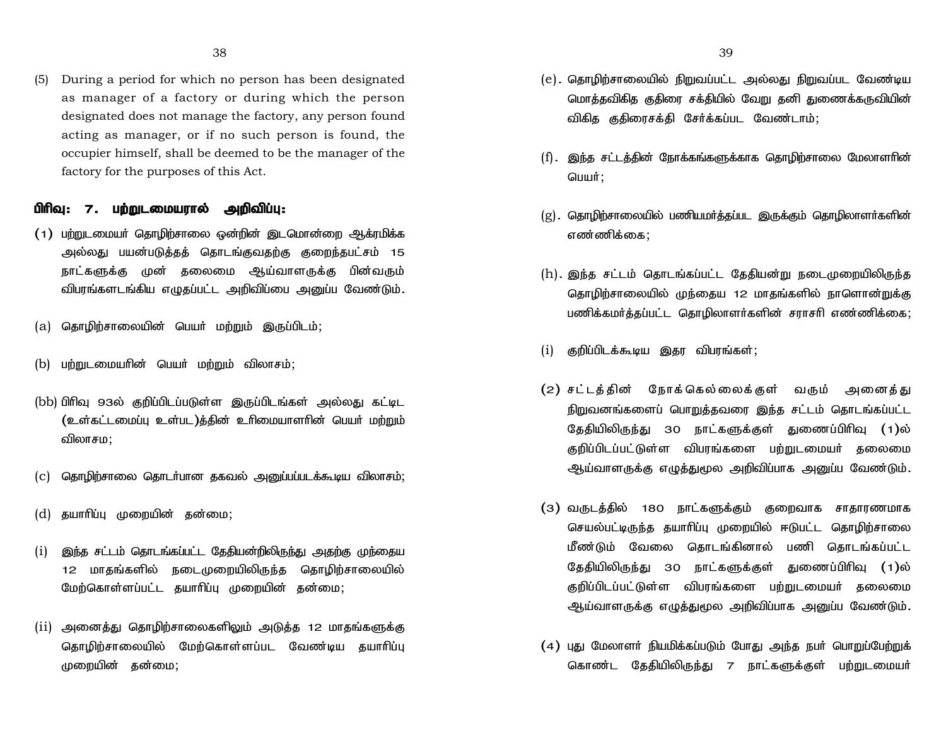(5) During a period for which no person has been designated as manager of a factory or during which the person designated does not manage the factory, any person found acting as manager, or if no such person is found, the occupier himself, shall be deemed to be the manager of the factory for the purposes of this Act. acting as manager, or if no such person is found, the occupier himself, shall be deemed to be the manager of the factory for the purposes of this Act.<br> **giftal:** 7. **upplemonuly of the purposes** of this Act.<br> **giftal:** 7.

- $(1)$  பற்றுடமையர் தொழிற்சாலை ஒன்றின் இடமொன்றை ஆக்ரமிக்க அல்லது பயன்படுத்தத் தொடங்குவதற்கு குறைந்தபட்சம் 15 **!: 7. பற்றுடமையரால் அறிவிப்பு:**<br>பற்றுடமையா் தொழிற்சாலை ஒன்றின் இடமொன்றை ஆக்ரமிக்க<br>அல்லது பயன்படுத்தத் தொடங்குவதற்கு குறைந்தபட்சம் 15<br>நாட்களுக்கு முன் தலைமை ஆய்வாளருக்கு பின்வரும்<br>விபரங்களடங்கிய எழுதப்பட்ட அறிவிப்பை அனுப் விபரங்களடங்கிய எழுதப்பட்ட அறிவிப்பை அனுப்ப வேண்டும்.
- $(a)$  தொழிற்சாலையின் பெயர் மற்றும் இருப்பிடம்;
- $(b)$  பற்றுடமையாின் பெயா் மற்றும் விலாசம்;
- (a) தொழிற்சாலையின் பெயா் மற்றும் இருப்பிடம்;<br>(b) பற்றுடமையாின் பெயா் மற்றும் விலாசம்;<br>(bb) பிாிவு 93ல் குறிப்பிடப்படுள்ள இருப்பிடங்கள் அல்லது கட்டிட<br>(உள்கட்டமைப்பு உள்பட)த்தின் உாிமையாளாின் பெயா் மற்றும் (உள்கட்டமைப்பு உள்பட)த்தின் உரிமையாளரின் பெயர் மற்றும் விலாசம; விலாசம;<br>(c) தொழிற்சாலை தொடர்பான தகவல் அ<br>(d) தயாரிப்பு முறையின் தன்மை;
- $\overline{c}$ ) தொழிற்சாலை தொடர்பான தகவல் அனுப்பப்படக்கூடிய விலாசம்;
- 
- $(i)$  இந்த சட்டம் தொடங்கப்பட்ட தேதியன்றிலிருந்து அதற்கு முந்தைய தயாரிப்பு முறையின் தன்மை;<br>இந்த சட்டம் தொடங்கப்பட்ட தேதியன்றிலிருந்து அதற்கு முந்தைய<br>12 மாதங்களில் நடைமுறையிலிருந்த தொழிற்சாலையில்<br>மேற்கொள்ளப்பட்ட தயாரிப்பு முறையின் தன்மை; மேற்கொள்ளப்பட்ட தயாரிப்பு முறையின் தன்மை; (i) இந்த சட்டம் தொடங்கப்பட்ட தேதியன்றிலிருந்து அதற்கு முந்தைய<br>12 மாதங்களில் நடைமுறையிலிருந்த தொழிற்சாலையில்<br>மேற்கொள்ளப்பட்ட தயாரிப்பு முறையின் தன்மை ;<br>(ii) அனைத்து தொழிற்சாலைகளிலும் அடுத்த 12 மாதங்களுக
- 12 மாதங்களில் நடைமுறையிலிருந்த தொழிற்சாலையில்<br>மேற்கொள்ளப்பட்ட தயாரிப்பு முறையின் தன்மை;<br>அனைத்து தொழிற்சாலைகளிலும் அடுத்த 12 மாதங்களுக்கு<br>தொழிற்சாலையில் மேற்கொள்ளப்பட வேண்டிய தயாரிப்பு<br>முறையின் தன்மை; முறையின் தன்மை;
- (e). தொழிற்சாலையில் நிறுவப்பட்ட அல்லது நிறுவப்பட வேண்டிய மொத்தவிகித குதிரை சக்தியில் வேறு தனி துணைக்கருவியின் 39<br>தொழிற்சாலையில் நிறுவப்பட்ட அல்லது நிறுவப்பட வேண்டிய<br>மொத்தவிகித குதிரை சக்தியில் வேறு தனி துணைக்கருவியின்<br>விகித குதிரைசக்தி சேர்க்கப்பட வேண்டாம்;
- $\int$ ரி. இந்த சட்டக்கின் நோக்கங்களுக்காக கொமிற்சாலை மேலாளரின்  $G$ பயர்; இந்த சட்டத்தின் நோக்கங்களுக்<br>பெயர்;<br>தொழிற்சாலையில் பணியமர்த்த<br>எண்ணிக்கை;
- $(g)$ . தொழிற்சாலையில் பணியமர்த்தப்பட இருக்கும் தொழிலாளர்களின்
- (g). தொழிற்சாலையில் பணியமா்த்தப்பட இருக்கும் தொழிலாளா்களின்<br>எண்ணிக்கை;<br>(h). இந்த சட்டம் தொடங்கப்பட்ட தேதியன்று நடைமுறையிலிருந்த<br>தொழிற்சாலையில் முந்தைய 12 மாதங்களில் நாளொன்றுக்கு தொழிற்சாலையில் முந்தைய 12 மாதங்களில் நாளொன்றுக்கு பணிக்கமர்க்கப்பட்ட கொமிலாளர்களின் சாாசரி எண்ணிக்கை: (h). இந்த சட்டம் தொடங்கப்பட்ட தேதியன்று நடைமுறையிலிருந்த<br>தொழிற்சாலையில் முந்தைய 12 மாதங்களில் நாளொன்றுக்கு<br>பணிக்கமா்த்தப்பட்ட தொழிலாளா்களின் சராசாி எண்ணிக்கை;<br>(i) குறிப்பிடக்கூடிய இதர விபரங்கள்;
- 
- பணிக்கமர்த்தப்பட்ட தொழிலாளர்களின் சராசரி எண்ணிக்கை;<br>(i) குறிப்பிடக்கூடிய இதர விபரங்கள்;<br>(2) சட்டத்தின் நோக்கெல்லைக்குள் வரும் அனைத்து<br>நிறுவனங்களைப் பொறுத்தவரை இந்த சட்டம் தொடங்கப்பட்ட நிறுவனங்களைப் பொறுத்தவரை இந்த சட்டம் தொடங்கப்பட்ட குறிப்பிடக்கூடிய இதர விபரங்கள்;<br>சட்டத்தின் நோக்கெல்லைக்குள் வரும் அனைத்து<br>நிறுவனங்களைப் பொறுத்தவரை இந்த சட்டம் தொடங்கப்பட்ட<br>தேதியிலிருந்து 30 நாட்களுக்குள் துணைப்பிரிவு (1)ல்<br>குறிப்பிடப்பட்டுள்ள விபரங்களை பற்றுடம சட்டத்தின் நோக்கெல்லைக்குள் வரும் அனைத்து<br>நிறுவனங்களைப் பொறுத்தவரை இந்த சட்டம் தொடங்கப்பட்ட<br>தேதியிலிருந்து 30 நாட்களுக்குள் துணைப்பிரிவு (1)ல்<br>குறிப்பிடப்பட்டுள்ள விபரங்களை பற்றுடமையர் தலைமை<br>ஆய்வாளருக்கு எழுத்துமூல அறிவிப ஆய்வாளருக்கு எழுத்துமூல அறிவிப்பாக அனுப்ப வேண்டும். தேதியிலிருந்து 30 நாட்களுக்குள் துணைப்பிரிவு (1)ல்<br>குறிப்பிடப்பட்டுள்ள விபரங்களை பற்றுடமையர் தலைமை<br>ஆய்வாளருக்கு எழுத்துமூல அறிவிப்பாக அனுப்ப வேண்டும்.<br>(3) வருடத்தில் 180 நாட்களுக்கும் குறைவாக சாதாரணமாக<br>செயல்பட்டிருந்த தயா
- செயல்பட்டிருந்த தயாரிப்பு முறையில் ஈடுபட்ட தொழிற்சாலை ஆய்வாளருக்கு எழுத்துமூல அறிவிப்பாக அனுப்ப வேண்டும்.<br>வருடத்தில் 180 நாட்களுக்கும் குறைவாக சாதாரணமாக<br>செயல்பட்டிருந்த தயாரிப்பு முறையில் ஈடுபட்ட தொழிற்சாலை<br>மீண்டும் வேலை தொடங்கினால் பணி தொடங்கப்பட்ட<br>தேதியிலிருந்து வருடத்தில் 180 நாட்களுக்கும் குறைவாக சாதாரணமாக<br>செயல்பட்டிருந்த தயாரிப்பு முறையில் ஈடுபட்ட தொழிற்சாலை<br>மீண்டும் வேலை தொடங்கினால் பணி தொடங்கப்பட்ட<br>தேதியிலிருந்து 30 நாட்களுக்குள் துணைப்பிரிவு (1)ல்<br>குறிப்பிடப்பட்டுள்ள விபரங் வருடத்தில் 18O நாட்களுக்கும் குறைவாக சாதாரணமாக<br>செயல்பட்டிருந்த தயாரிப்பு முறையில் ஈடுபட்ட தொழிற்சாலை<br>மீண்டும் வேலை தொடங்கினால் பணி தொடங்கப்பட்ட<br>தேதியிலிருந்து 3O நாட்களுக்குள் துணைப்பிரிவு (1)ல்<br>குறிப்பிடப்பட்டுள்ள விபரங் ஆய்வாளருக்கு எழுத்துமூல அறிவிப்பாக அனுப்ப வேண்டும்.
- $(4)$  புது மேலாளர் நியமிக்கப்படும் போது அந்த நபர் பொறுப்பேற்றுக் குறிப்பிடப்பட்டுள்ள விபரங்களை பற்றுடமையர் தலைமை<br>ஆய்வாளருக்கு எழுத்துமூல அறிவிப்பாக அனுப்ப வேண்டும்.<br>புது மேலாளர் நியமிக்கப்படும் போது அந்த நபர் பொறுப்பேற்றுக்<br>கொண்ட தேதியிலிருந்து 7 நாட்களுக்குள் பற்றுடமையர்